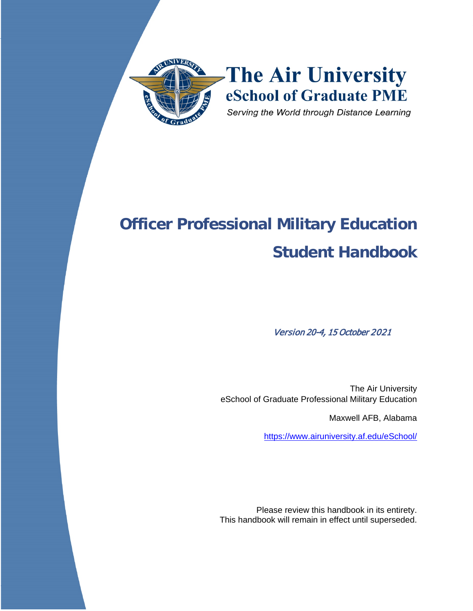

# **Officer Professional Military Education Student Handbook**

Version 20-4, 15 October 2021

The Air University eSchool of Graduate Professional Military Education

Maxwell AFB, Alabama

<https://www.airuniversity.af.edu/eSchool/>

Please review this handbook in its entirety. This handbook will remain in effect until superseded.

Student Handbook – PME Programs 16 SEP 2020 16 SEP 2020 16 SEP 2020 16 SEP 2020 16 SEP 2020 16 SEP 2020 16 SEP<br>Programs 16 SEP 2020 16 SEP 2020 16 SEP 2020 16 SEP 2020 16 SEP 2020 16 SEP 2020 16 SEP 2020 16 SEP 2020 16 SE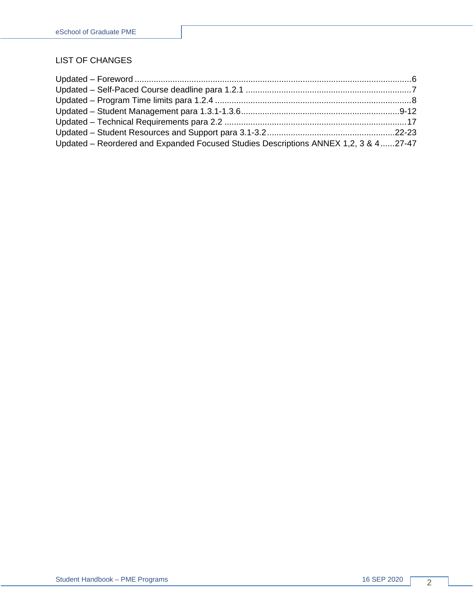#### LIST OF CHANGES

| Updated – Reordered and Expanded Focused Studies Descriptions ANNEX 1,2, 3 & 427-47 |  |
|-------------------------------------------------------------------------------------|--|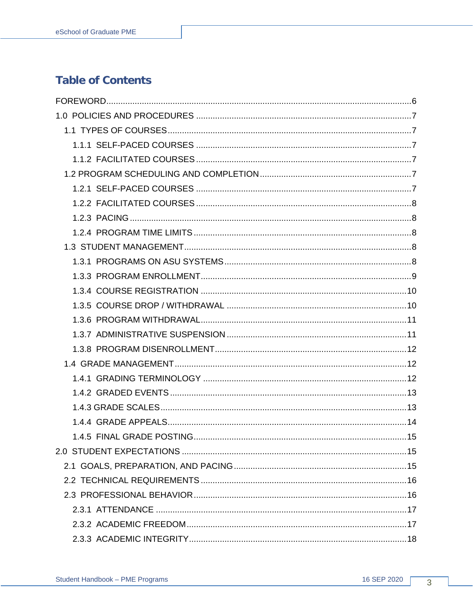# **Table of Contents**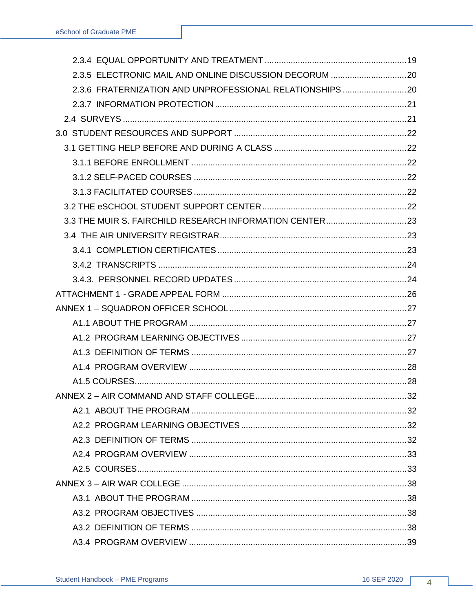| 2.3.6 FRATERNIZATION AND UNPROFESSIONAL RELATIONSHIPS  20 |  |
|-----------------------------------------------------------|--|
|                                                           |  |
|                                                           |  |
|                                                           |  |
|                                                           |  |
|                                                           |  |
|                                                           |  |
|                                                           |  |
|                                                           |  |
|                                                           |  |
|                                                           |  |
|                                                           |  |
|                                                           |  |
|                                                           |  |
|                                                           |  |
|                                                           |  |
|                                                           |  |
|                                                           |  |
|                                                           |  |
|                                                           |  |
|                                                           |  |
|                                                           |  |
|                                                           |  |
|                                                           |  |
|                                                           |  |
|                                                           |  |
|                                                           |  |
|                                                           |  |
|                                                           |  |
|                                                           |  |
|                                                           |  |
|                                                           |  |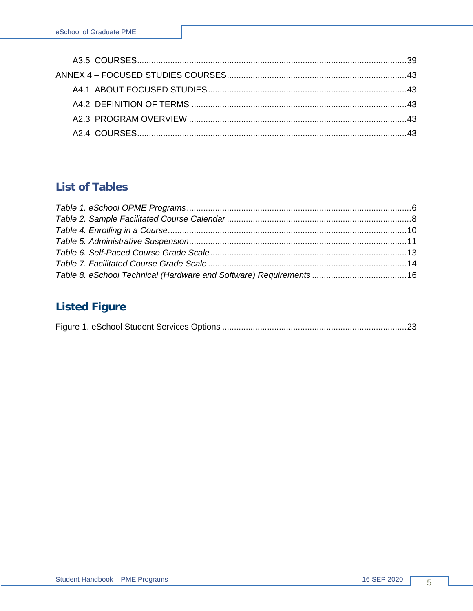# **List of Tables**

# **Listed Figure**

|--|--|--|--|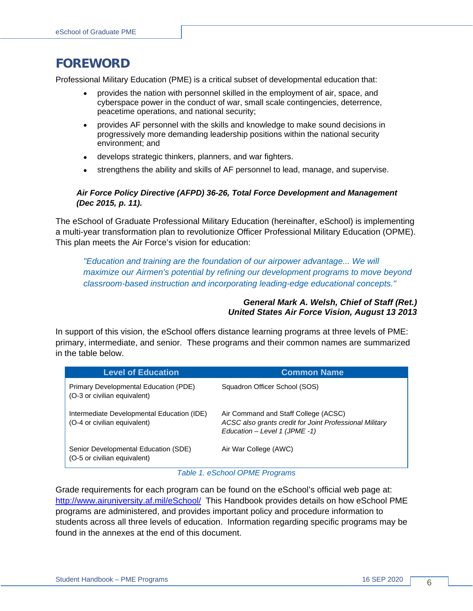# <span id="page-5-0"></span>**FOREWORD**

Professional Military Education (PME) is a critical subset of developmental education that:

- provides the nation with personnel skilled in the employment of air, space, and cyberspace power in the conduct of war, small scale contingencies, deterrence, peacetime operations, and national security;
- provides AF personnel with the skills and knowledge to make sound decisions in progressively more demanding leadership positions within the national security environment; and
- develops strategic thinkers, planners, and war fighters.
- strengthens the ability and skills of AF personnel to lead, manage, and supervise.

#### *Air Force Policy Directive (AFPD) 36-26, Total Force Development and Management (Dec 2015, p. 11).*

The eSchool of Graduate Professional Military Education (hereinafter, eSchool) is implementing a multi-year transformation plan to revolutionize Officer Professional Military Education (OPME). This plan meets the Air Force's vision for education:

*"Education and training are the foundation of our airpower advantage... We will maximize our Airmen's potential by refining our development programs to move beyond classroom-based instruction and incorporating leading-edge educational concepts."*

#### *General Mark A. Welsh, Chief of Staff (Ret.) United States Air Force Vision, August 13 2013*

In support of this vision, the eSchool offers distance learning programs at three levels of PME: primary, intermediate, and senior. These programs and their common names are summarized in the table below.

| <b>Level of Education</b>                                                  | <b>Common Name</b>                                                                                                                 |
|----------------------------------------------------------------------------|------------------------------------------------------------------------------------------------------------------------------------|
| Primary Developmental Education (PDE)<br>(O-3 or civilian equivalent)      | Squadron Officer School (SOS)                                                                                                      |
| Intermediate Developmental Education (IDE)<br>(O-4 or civilian equivalent) | Air Command and Staff College (ACSC)<br>ACSC also grants credit for Joint Professional Military<br>Education $-$ Level 1 (JPME -1) |
| Senior Developmental Education (SDE)<br>(O-5 or civilian equivalent)       | Air War College (AWC)                                                                                                              |

*Table 1. eSchool OPME Programs*

<span id="page-5-1"></span>Grade requirements for each program can be found on the eSchool's official web page at: <http://www.airuniversity.af.mil/eSchool/>This Handbook provides details on how eSchool PME programs are administered, and provides important policy and procedure information to students across all three levels of education. Information regarding specific programs may be found in the annexes at the end of this document.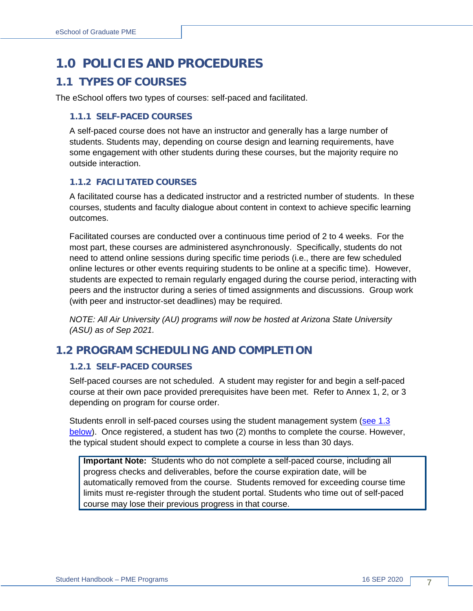# <span id="page-6-0"></span>**1.0 POLICIES AND PROCEDURES**

### <span id="page-6-1"></span>**1.1 TYPES OF COURSES**

The eSchool offers two types of courses: self-paced and facilitated.

#### <span id="page-6-2"></span>**1.1.1 SELF-PACED COURSES**

A self-paced course does not have an instructor and generally has a large number of students. Students may, depending on course design and learning requirements, have some engagement with other students during these courses, but the majority require no outside interaction.

#### <span id="page-6-3"></span>**1.1.2 FACILITATED COURSES**

A facilitated course has a dedicated instructor and a restricted number of students. In these courses, students and faculty dialogue about content in context to achieve specific learning outcomes.

Facilitated courses are conducted over a continuous time period of 2 to 4 weeks. For the most part, these courses are administered asynchronously. Specifically, students do not need to attend online sessions during specific time periods (i.e., there are few scheduled online lectures or other events requiring students to be online at a specific time). However, students are expected to remain regularly engaged during the course period, interacting with peers and the instructor during a series of timed assignments and discussions. Group work (with peer and instructor-set deadlines) may be required.

*NOTE: All Air University (AU) programs will now be hosted at Arizona State University (ASU) as of Sep 2021.*

### <span id="page-6-4"></span>**1.2 PROGRAM SCHEDULING AND COMPLETION**

#### <span id="page-6-5"></span>**1.2.1 SELF-PACED COURSES**

Self-paced courses are not scheduled. A student may register for and begin a self-paced course at their own pace provided prerequisites have been met. Refer to Annex 1, 2, or 3 depending on program for course order.

Students enroll in self-paced courses using the student management system [\(see 1.3](#page-7-3)  [below\)](#page-7-3). Once registered, a student has two (2) months to complete the course. However, the typical student should expect to complete a course in less than 30 days.

**Important Note:** Students who do not complete a self-paced course, including all progress checks and deliverables, before the course expiration date, will be automatically removed from the course. Students removed for exceeding course time limits must re-register through the student portal. Students who time out of self-paced course may lose their previous progress in that course.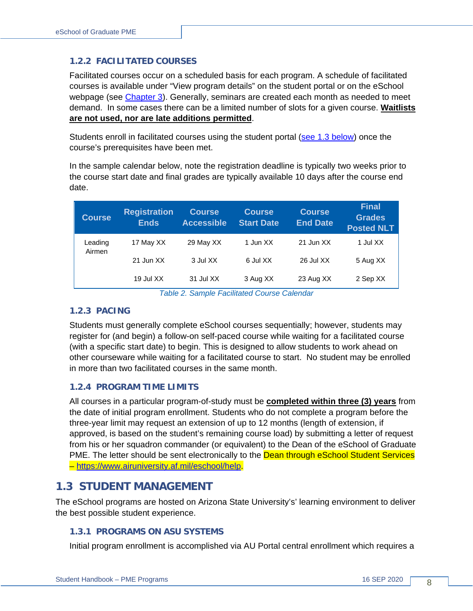#### <span id="page-7-0"></span>**1.2.2 FACILITATED COURSES**

Facilitated courses occur on a scheduled basis for each program. A schedule of facilitated courses is available under "View program details" on the student portal or on the eSchool webpage (see Chapter 3). Generally, seminars are created each month as needed to meet demand. In some cases there can be a limited number of slots for a given course. **Waitlists are not used, nor are late additions permitted**.

Students enroll in facilitated courses using the student portal [\(see 1.3 below\)](#page-7-3) once the course's prerequisites have been met.

In the sample calendar below, note the registration deadline is typically two weeks prior to the course start date and final grades are typically available 10 days after the course end date.

| <b>Course</b>     | <b>Registration</b><br><b>Ends</b> | <b>Course</b><br><b>Accessible</b> | <b>Course</b><br><b>Start Date</b> | <b>Course</b><br><b>End Date</b> | <b>Final</b><br><b>Grades</b><br><b>Posted NLT</b> |
|-------------------|------------------------------------|------------------------------------|------------------------------------|----------------------------------|----------------------------------------------------|
| Leading<br>Airmen | 17 May XX                          | 29 May XX                          | 1 Jun XX                           | 21 Jun XX                        | 1 Jul XX                                           |
|                   | 21 Jun XX                          | 3 Jul XX                           | 6 Jul XX                           | 26 Jul XX                        | 5 Aug XX                                           |
|                   | 19 Jul XX                          | 31 Jul XX                          | 3 Aug XX                           | 23 Aug XX                        | 2 Sep XX                                           |

*Table 2. Sample Facilitated Course Calendar*

#### <span id="page-7-5"></span><span id="page-7-1"></span>**1.2.3 PACING**

Students must generally complete eSchool courses sequentially; however, students may register for (and begin) a follow-on self-paced course while waiting for a facilitated course (with a specific start date) to begin. This is designed to allow students to work ahead on other courseware while waiting for a facilitated course to start. No student may be enrolled in more than two facilitated courses in the same month.

#### <span id="page-7-2"></span>**1.2.4 PROGRAM TIME LIMITS**

All courses in a particular program-of-study must be **completed within three (3) years** from the date of initial program enrollment. Students who do not complete a program before the three-year limit may request an extension of up to 12 months (length of extension, if approved, is based on the student's remaining course load) by submitting a letter of request from his or her squadron commander (or equivalent) to the Dean of the eSchool of Graduate PME. The letter should be sent electronically to the **Dean through eSchool Student Services** – https://www.airuniversity.af.mil/eschool/help.

### <span id="page-7-3"></span>**1.3 STUDENT MANAGEMENT**

The eSchool programs are hosted on Arizona State University's' learning environment to deliver the best possible student experience.

#### <span id="page-7-4"></span>**1.3.1 PROGRAMS ON ASU SYSTEMS**

Initial program enrollment is accomplished via AU Portal central enrollment which requires a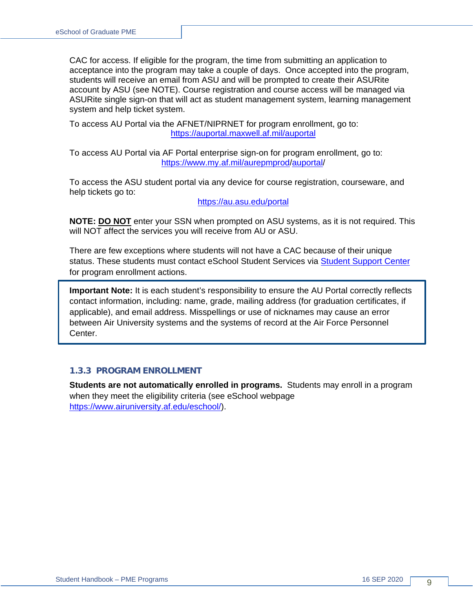CAC for access. If eligible for the program, the time from submitting an application to acceptance into the program may take a couple of days. Once accepted into the program, students will receive an email from ASU and will be prompted to create their ASURite account by ASU (see NOTE). Course registration and course access will be managed via ASURite single sign-on that will act as student management system, learning management system and help ticket system.

To access AU Portal via the AFNET/NIPRNET for program enrollment, go to: <https://auportal.maxwell.af.mil/auportal>

To access AU Portal via AF Portal enterprise sign-on for program enrollment, go to: https://www.my.af.mil/aurepmprod/auportal/

To access the ASU student portal via any device for course registration, courseware, and help tickets go to:

<https://au.asu.edu/>portal

**NOTE: DO NOT** enter your SSN when prompted on ASU systems, as it is not required. This will NOT affect the services you will receive from AU or ASU.

There are few exceptions where students will not have a CAC because of their unique status. These students must contact eSchool Student Services via [Student Support](https://www.airuniversity.af.edu/eSchool/Help/) Center for program enrollment actions.

**Important Note:** It is each student's responsibility to ensure the AU Portal correctly reflects contact information, including: name, grade, mailing address (for graduation certificates, if applicable), and email address. Misspellings or use of nicknames may cause an error between Air University systems and the systems of record at the Air Force Personnel Center.

#### <span id="page-8-0"></span>**1.3.3 PROGRAM ENROLLMENT**

**Students are not automatically enrolled in programs.** Students may enroll in a program when they meet the eligibility criteria (see eSchool webpage [https://www.airuniversity.af.edu/eschool/\)](https://www.airuniversity.af.edu/eschool/).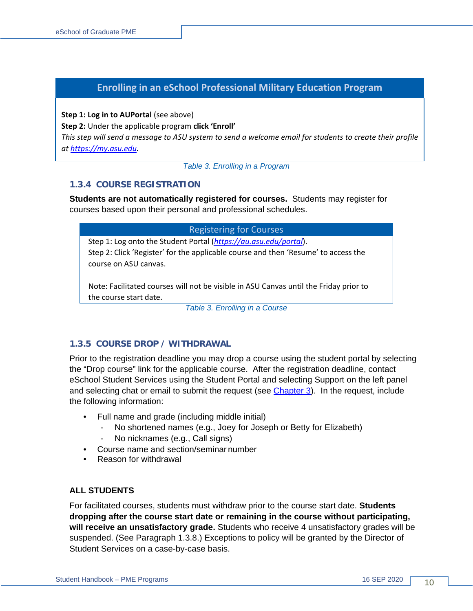### **Enrolling in an eSchool Professional Military Education Program**

**Step 1: Log in to AUPortal (see above)** 

**Step 2:** Under the applicable program **click 'Enroll'**

*This step will send a message to ASU system to send a welcome email for students to create their profile at [https://my.asu.edu.](https://my.asu.edu/)*

*Table 3. Enrolling in a Program*

#### <span id="page-9-0"></span>**1.3.4 COURSE REGISTRATION**

**Students are not automatically registered for courses.** Students may register for courses based upon their personal and professional schedules.

| <b>Registering for Courses</b> |  |
|--------------------------------|--|
|                                |  |

Step 1: Log onto the Student Portal (*<https://au.asu.edu/>portal*). Step 2: Click 'Register' for the applicable course and then 'Resume' to access the course on ASU canvas.

<span id="page-9-2"></span>Note: Facilitated courses will not be visible in ASU Canvas until the Friday prior to the course start date.

*Table 3. Enrolling in a Course*

#### <span id="page-9-1"></span>**1.3.5 COURSE DROP / WITHDRAWAL**

Prior to the registration deadline you may drop a course using the student portal by selecting the "Drop course" link for the applicable course. After the registration deadline, contact eSchool Student Services using the Student Portal and selecting Support on the left panel and selecting chat or email to submit the request (see [Chapter 3\)](#page-21-0). In the request, include the following information:

- Full name and grade (including middle initial)
	- No shortened names (e.g., Joey for Joseph or Betty for Elizabeth)
	- No nicknames (e.g., Call signs)
- Course name and section/seminar number
- Reason for withdrawal

#### **ALL STUDENTS**

For facilitated courses, students must withdraw prior to the course start date. **Students dropping after the course start date or remaining in the course without participating, will receive an unsatisfactory grade.** Students who receive 4 unsatisfactory grades will be suspended. (See Paragraph 1.3.8.) Exceptions to policy will be granted by the Director of Student Services on a case-by-case basis.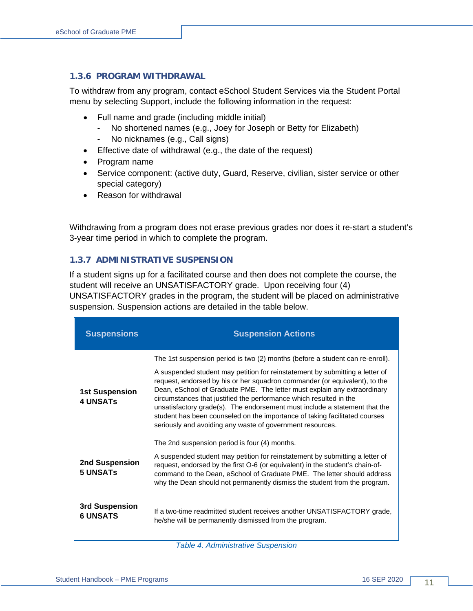#### <span id="page-10-0"></span>**1.3.6 PROGRAM WITHDRAWAL**

To withdraw from any program, contact eSchool Student Services via the Student Portal menu by selecting Support, include the following information in the request:

- Full name and grade (including middle initial)
	- No shortened names (e.g., Joey for Joseph or Betty for Elizabeth)
	- No nicknames (e.g., Call signs)
- Effective date of withdrawal (e.g., the date of the request)
- Program name
- Service component: (active duty, Guard, Reserve, civilian, sister service or other special category)
- Reason for withdrawal

Withdrawing from a program does not erase previous grades nor does it re-start a student's 3-year time period in which to complete the program.

#### <span id="page-10-1"></span>**1.3.7 ADMINISTRATIVE SUSPENSION**

If a student signs up for a facilitated course and then does not complete the course, the student will receive an UNSATISFACTORY grade. Upon receiving four (4) UNSATISFACTORY grades in the program, the student will be placed on administrative suspension. Suspension actions are detailed in the table below.

| <b>Suspensions</b>                       | <b>Suspension Actions</b>                                                                                                                                                                                                                                                                                                                                                                                                                                                                                                             |
|------------------------------------------|---------------------------------------------------------------------------------------------------------------------------------------------------------------------------------------------------------------------------------------------------------------------------------------------------------------------------------------------------------------------------------------------------------------------------------------------------------------------------------------------------------------------------------------|
|                                          | The 1st suspension period is two (2) months (before a student can re-enroll).                                                                                                                                                                                                                                                                                                                                                                                                                                                         |
| <b>1st Suspension</b><br><b>4 UNSATS</b> | A suspended student may petition for reinstatement by submitting a letter of<br>request, endorsed by his or her squadron commander (or equivalent), to the<br>Dean, eSchool of Graduate PME. The letter must explain any extraordinary<br>circumstances that justified the performance which resulted in the<br>unsatisfactory grade(s). The endorsement must include a statement that the<br>student has been counseled on the importance of taking facilitated courses<br>seriously and avoiding any waste of government resources. |
|                                          | The 2nd suspension period is four (4) months.                                                                                                                                                                                                                                                                                                                                                                                                                                                                                         |
| 2nd Suspension<br><b>5 UNSATS</b>        | A suspended student may petition for reinstatement by submitting a letter of<br>request, endorsed by the first O-6 (or equivalent) in the student's chain-of-<br>command to the Dean, eSchool of Graduate PME. The letter should address<br>why the Dean should not permanently dismiss the student from the program.                                                                                                                                                                                                                 |
| 3rd Suspension<br><b>6 UNSATS</b>        | If a two-time readmitted student receives another UNSATISFACTORY grade,<br>he/she will be permanently dismissed from the program.                                                                                                                                                                                                                                                                                                                                                                                                     |

<span id="page-10-2"></span>*Table 4. Administrative Suspension*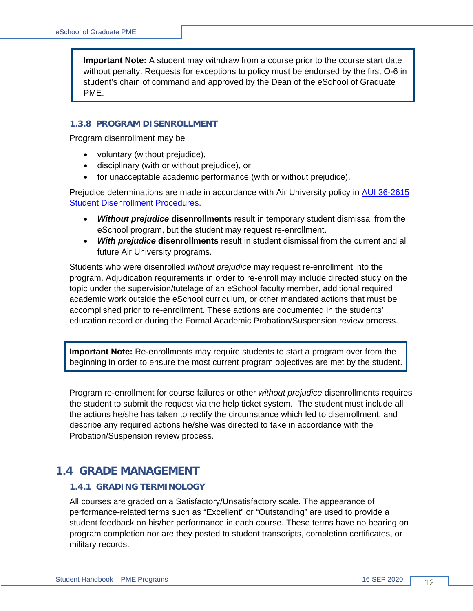**Important Note:** A student may withdraw from a course prior to the course start date without penalty. Requests for exceptions to policy must be endorsed by the first O-6 in student's chain of command and approved by the Dean of the eSchool of Graduate PME.

#### <span id="page-11-0"></span>**1.3.8 PROGRAM DISENROLLMENT**

Program disenrollment may be

- voluntary (without prejudice),
- disciplinary (with or without prejudice), or
- for unacceptable academic performance (with or without prejudice).

Prejudice determinations are made in accordance with Air University policy in [AUI 36-2615](http://static.e-publishing.af.mil/production/1/au/publication/aui36-2615/aui36-2615___.pdf)  [Student Disenrollment Procedures.](http://static.e-publishing.af.mil/production/1/au/publication/aui36-2615/aui36-2615___.pdf)

- *Without prejudice* **disenrollments** result in temporary student dismissal from the eSchool program, but the student may request re-enrollment.
- *With prejudice* **disenrollments** result in student dismissal from the current and all future Air University programs.

Students who were disenrolled *without prejudice* may request re-enrollment into the program. Adjudication requirements in order to re-enroll may include directed study on the topic under the supervision/tutelage of an eSchool faculty member, additional required academic work outside the eSchool curriculum, or other mandated actions that must be accomplished prior to re-enrollment. These actions are documented in the students' education record or during the Formal Academic Probation/Suspension review process.

**Important Note:** Re-enrollments may require students to start a program over from the beginning in order to ensure the most current program objectives are met by the student.

Program re-enrollment for course failures or other *without prejudice* disenrollments requires the student to submit the request via the help ticket system. The student must include all the actions he/she has taken to rectify the circumstance which led to disenrollment, and describe any required actions he/she was directed to take in accordance with the Probation/Suspension review process.

### <span id="page-11-1"></span>**1.4 GRADE MANAGEMENT**

#### <span id="page-11-2"></span>**1.4.1 GRADING TERMINOLOGY**

All courses are graded on a Satisfactory/Unsatisfactory scale. The appearance of performance-related terms such as "Excellent" or "Outstanding" are used to provide a student feedback on his/her performance in each course. These terms have no bearing on program completion nor are they posted to student transcripts, completion certificates, or military records.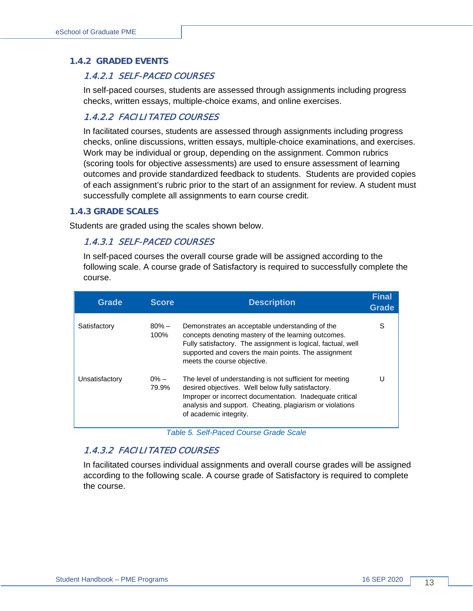#### <span id="page-12-0"></span>**1.4.2 GRADED EVENTS**

#### 1.4.2.1 SELF-PACED COURSES

In self-paced courses, students are assessed through assignments including progress checks, written essays, multiple-choice exams, and online exercises.

#### 1.4.2.2 FACILITATED COURSES

In facilitated courses, students are assessed through assignments including progress checks, online discussions, written essays, multiple-choice examinations, and exercises. Work may be individual or group, depending on the assignment. Common rubrics (scoring tools for objective assessments) are used to ensure assessment of learning outcomes and provide standardized feedback to students. Students are provided copies of each assignment's rubric prior to the start of an assignment for review. A student must successfully complete all assignments to earn course credit.

#### <span id="page-12-1"></span>**1.4.3 GRADE SCALES**

Students are graded using the scales shown below.

#### 1.4.3.1 SELF-PACED COURSES

In self-paced courses the overall course grade will be assigned according to the following scale. A course grade of Satisfactory is required to successfully complete the course.

| <b>Grade</b>   | <b>Score</b>     | <b>Description</b>                                                                                                                                                                                                                                               | <b>Final</b><br>Grade |
|----------------|------------------|------------------------------------------------------------------------------------------------------------------------------------------------------------------------------------------------------------------------------------------------------------------|-----------------------|
| Satisfactory   | $80\% -$<br>100% | Demonstrates an acceptable understanding of the<br>concepts denoting mastery of the learning outcomes.<br>Fully satisfactory. The assignment is logical, factual, well<br>supported and covers the main points. The assignment<br>meets the course objective.    | S                     |
| Unsatisfactory | $0\% -$<br>79.9% | The level of understanding is not sufficient for meeting<br>desired objectives. Well below fully satisfactory.<br>Improper or incorrect documentation. Inadequate critical<br>analysis and support. Cheating, plagiarism or violations<br>of academic integrity. | U                     |

*Table 5. Self-Paced Course Grade Scale*

#### <span id="page-12-2"></span>1.4.3.2 FACILITATED COURSES

In facilitated courses individual assignments and overall course grades will be assigned according to the following scale. A course grade of Satisfactory is required to complete the course.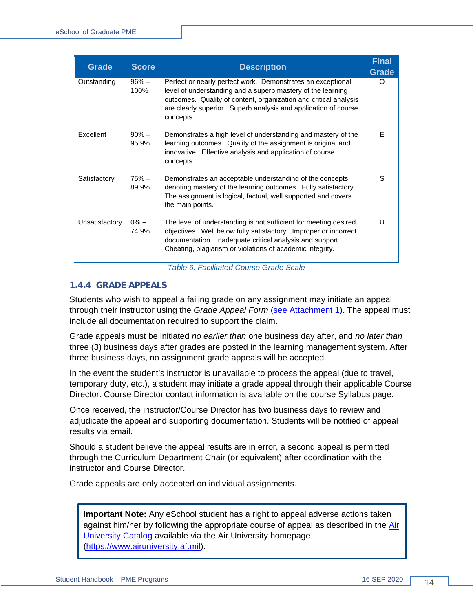| <b>Grade</b>   | <b>Score</b>       | <b>Description</b>                                                                                                                                                                                                                                                             | <b>Final</b><br><b>Grade</b> |
|----------------|--------------------|--------------------------------------------------------------------------------------------------------------------------------------------------------------------------------------------------------------------------------------------------------------------------------|------------------------------|
| Outstanding    | $96\% -$<br>100%   | Perfect or nearly perfect work. Demonstrates an exceptional<br>level of understanding and a superb mastery of the learning<br>outcomes. Quality of content, organization and critical analysis<br>are clearly superior. Superb analysis and application of course<br>concepts. | ∩                            |
| Excellent      | $90\% -$<br>95.9%  | Demonstrates a high level of understanding and mastery of the<br>learning outcomes. Quality of the assignment is original and<br>innovative. Effective analysis and application of course<br>concepts.                                                                         | E                            |
| Satisfactory   | $75% -$<br>89.9%   | Demonstrates an acceptable understanding of the concepts<br>denoting mastery of the learning outcomes. Fully satisfactory.<br>The assignment is logical, factual, well supported and covers<br>the main points.                                                                | S                            |
| Unsatisfactory | $0\%$ $-$<br>74.9% | The level of understanding is not sufficient for meeting desired<br>objectives. Well below fully satisfactory. Improper or incorrect<br>documentation. Inadequate critical analysis and support.<br>Cheating, plagiarism or violations of academic integrity.                  | U                            |

*Table 6. Facilitated Course Grade Scale*

#### <span id="page-13-1"></span><span id="page-13-0"></span>**1.4.4 GRADE APPEALS**

Students who wish to appeal a failing grade on any assignment may initiate an appeal through their instructor using the *Grade Appeal Form* [\(see Attachment 1\)](#page-25-0). The appeal must include all documentation required to support the claim.

Grade appeals must be initiated *no earlier than* one business day after, and *no later than* three (3) business days after grades are posted in the learning management system. After three business days, no assignment grade appeals will be accepted.

In the event the student's instructor is unavailable to process the appeal (due to travel, temporary duty, etc.), a student may initiate a grade appeal through their applicable Course Director. Course Director contact information is available on the course Syllabus page.

Once received, the instructor/Course Director has two business days to review and adjudicate the appeal and supporting documentation. Students will be notified of appeal results via email.

Should a student believe the appeal results are in error, a second appeal is permitted through the Curriculum Department Chair (or equivalent) after coordination with the instructor and Course Director.

Grade appeals are only accepted on individual assignments.

**Important Note:** Any eSchool student has a right to appeal adverse actions taken against him/her by following the appropriate course of appeal as described in the [Air](http://www.airuniversity.af.mil/Portals/10/AcademicAffairs/documents/2017-2018-AU_Catalog.pdf)  [University Catalog](http://www.airuniversity.af.mil/Portals/10/AcademicAffairs/documents/2017-2018-AU_Catalog.pdf) available via the Air University homepage [\(https://www.airuniversity.af.mil\)](https://www.airuniversity.af.mil/).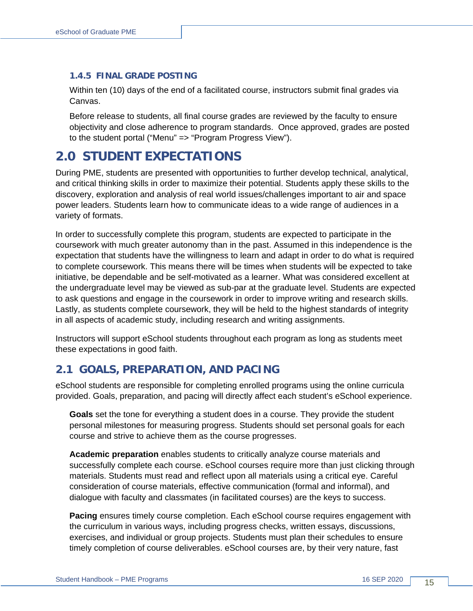#### <span id="page-14-0"></span>**1.4.5 FINAL GRADE POSTING**

Within ten (10) days of the end of a facilitated course, instructors submit final grades via Canvas.

Before release to students, all final course grades are reviewed by the faculty to ensure objectivity and close adherence to program standards. Once approved, grades are posted to the student portal ("Menu" => "Program Progress View").

# <span id="page-14-1"></span>**2.0 STUDENT EXPECTATIONS**

During PME, students are presented with opportunities to further develop technical, analytical, and critical thinking skills in order to maximize their potential. Students apply these skills to the discovery, exploration and analysis of real world issues/challenges important to air and space power leaders. Students learn how to communicate ideas to a wide range of audiences in a variety of formats.

In order to successfully complete this program, students are expected to participate in the coursework with much greater autonomy than in the past. Assumed in this independence is the expectation that students have the willingness to learn and adapt in order to do what is required to complete coursework. This means there will be times when students will be expected to take initiative, be dependable and be self-motivated as a learner. What was considered excellent at the undergraduate level may be viewed as sub-par at the graduate level. Students are expected to ask questions and engage in the coursework in order to improve writing and research skills. Lastly, as students complete coursework, they will be held to the highest standards of integrity in all aspects of academic study, including research and writing assignments.

Instructors will support eSchool students throughout each program as long as students meet these expectations in good faith.

### <span id="page-14-2"></span>**2.1 GOALS, PREPARATION, AND PACING**

eSchool students are responsible for completing enrolled programs using the online curricula provided. Goals, preparation, and pacing will directly affect each student's eSchool experience.

**Goals** set the tone for everything a student does in a course. They provide the student personal milestones for measuring progress. Students should set personal goals for each course and strive to achieve them as the course progresses.

**Academic preparation** enables students to critically analyze course materials and successfully complete each course. eSchool courses require more than just clicking through materials. Students must read and reflect upon all materials using a critical eye. Careful consideration of course materials, effective communication (formal and informal), and dialogue with faculty and classmates (in facilitated courses) are the keys to success.

**Pacing** ensures timely course completion. Each eSchool course requires engagement with the curriculum in various ways, including progress checks, written essays, discussions, exercises, and individual or group projects. Students must plan their schedules to ensure timely completion of course deliverables. eSchool courses are, by their very nature, fast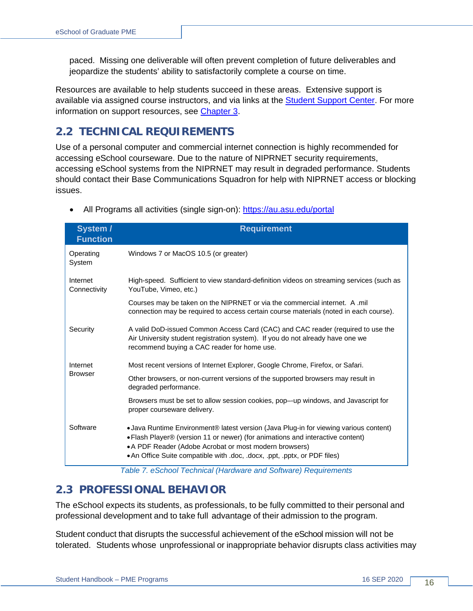paced. Missing one deliverable will often prevent completion of future deliverables and jeopardize the students' ability to satisfactorily complete a course on time.

Resources are available to help students succeed in these areas. Extensive support is available via assigned course instructors, and via links at the [Student Support](https://www.airuniversity.af.edu/eSchool/) Center. For more information on support resources, see [Chapter 3.](#page-21-0)

## <span id="page-15-0"></span>**2.2 TECHNICAL REQUIREMENTS**

Use of a personal computer and commercial internet connection is highly recommended for accessing eSchool courseware. Due to the nature of NIPRNET security requirements, accessing eSchool systems from the NIPRNET may result in degraded performance. Students should contact their Base Communications Squadron for help with NIPRNET access or blocking issues.

| System /<br><b>Function</b> | <b>Requirement</b>                                                                                                                                                                                                                                                                                             |  |
|-----------------------------|----------------------------------------------------------------------------------------------------------------------------------------------------------------------------------------------------------------------------------------------------------------------------------------------------------------|--|
| Operating<br>System         | Windows 7 or MacOS 10.5 (or greater)                                                                                                                                                                                                                                                                           |  |
| Internet<br>Connectivity    | High-speed. Sufficient to view standard-definition videos on streaming services (such as<br>YouTube, Vimeo, etc.)                                                                                                                                                                                              |  |
|                             | Courses may be taken on the NIPRNET or via the commercial internet. A .mil<br>connection may be required to access certain course materials (noted in each course).                                                                                                                                            |  |
| Security                    | A valid DoD-issued Common Access Card (CAC) and CAC reader (required to use the<br>Air University student registration system). If you do not already have one we<br>recommend buying a CAC reader for home use.                                                                                               |  |
| Internet<br><b>Browser</b>  | Most recent versions of Internet Explorer, Google Chrome, Firefox, or Safari.                                                                                                                                                                                                                                  |  |
|                             | Other browsers, or non-current versions of the supported browsers may result in<br>degraded performance.                                                                                                                                                                                                       |  |
|                             | Browsers must be set to allow session cookies, pop—up windows, and Javascript for<br>proper courseware delivery.                                                                                                                                                                                               |  |
| Software                    | • Java Runtime Environment® latest version (Java Plug-in for viewing various content)<br>• Flash Player® (version 11 or newer) (for animations and interactive content)<br>• A PDF Reader (Adobe Acrobat or most modern browsers)<br>• An Office Suite compatible with .doc, .docx, .ppt, .pptx, or PDF files) |  |

• All Programs all activities (single sign-on): <https://au.asu.edu/>portal

*Table 7. eSchool Technical (Hardware and Software) Requirements*

### <span id="page-15-2"></span><span id="page-15-1"></span>**2.3 PROFESSIONAL BEHAVIOR**

The eSchool expects its students, as professionals, to be fully committed to their personal and professional development and to take full advantage of their admission to the program.

Student conduct that disrupts the successful achievement of the eSchool mission will not be tolerated. Students whose unprofessional or inappropriate behavior disrupts class activities may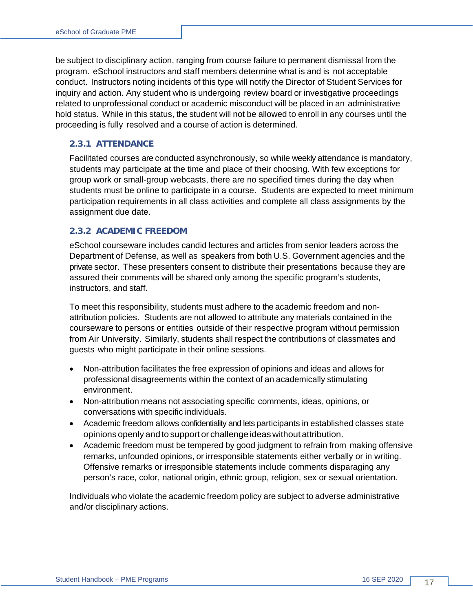be subject to disciplinary action, ranging from course failure to permanent dismissal from the program. eSchool instructors and staff members determine what is and is not acceptable conduct. Instructors noting incidents of this type will notify the Director of Student Services for inquiry and action. Any student who is undergoing review board or investigative proceedings related to unprofessional conduct or academic misconduct will be placed in an administrative hold status. While in this status, the student will not be allowed to enroll in any courses until the proceeding is fully resolved and a course of action is determined.

#### <span id="page-16-0"></span>**2.3.1 ATTENDANCE**

Facilitated courses are conducted asynchronously, so while weekly attendance is mandatory, students may participate at the time and place of their choosing. With few exceptions for group work or small-group webcasts, there are no specified times during the day when students must be online to participate in a course. Students are expected to meet minimum participation requirements in all class activities and complete all class assignments by the assignment due date.

#### <span id="page-16-1"></span>**2.3.2 ACADEMIC FREEDOM**

eSchool courseware includes candid lectures and articles from senior leaders across the Department of Defense, as well as speakers from both U.S. Government agencies and the private sector. These presenters consent to distribute their presentations because they are assured their comments will be shared only among the specific program's students, instructors, and staff.

To meet this responsibility, students must adhere to the academic freedom and nonattribution policies. Students are not allowed to attribute any materials contained in the courseware to persons or entities outside of their respective program without permission from Air University. Similarly, students shall respect the contributions of classmates and guests who might participate in their online sessions.

- Non-attribution facilitates the free expression of opinions and ideas and allows for professional disagreements within the context of an academically stimulating environment.
- Non-attribution means not associating specific comments, ideas, opinions, or conversations with specific individuals.
- Academic freedom allows confidentiality and lets participants in established classes state opinions openly andtosupport or challenge ideas without attribution.
- Academic freedom must be tempered by good judgment to refrain from making offensive remarks, unfounded opinions, or irresponsible statements either verbally or in writing. Offensive remarks or irresponsible statements include comments disparaging any person's race, color, national origin, ethnic group, religion, sex or sexual orientation.

Individuals who violate the academic freedom policy are subject to adverse administrative and/or disciplinary actions.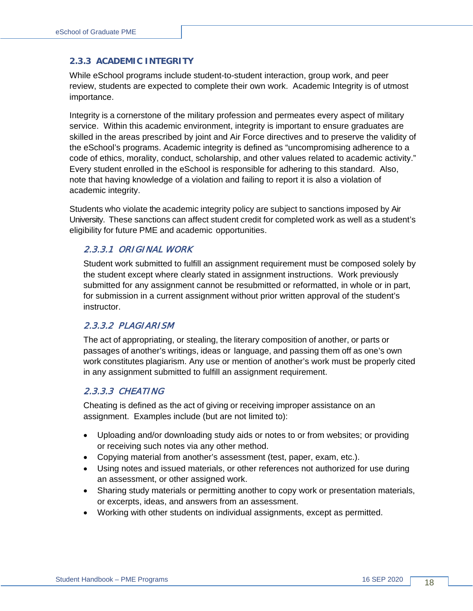#### <span id="page-17-0"></span>**2.3.3 ACADEMIC INTEGRITY**

While eSchool programs include student-to-student interaction, group work, and peer review, students are expected to complete their own work. Academic Integrity is of utmost importance.

Integrity is a cornerstone of the military profession and permeates every aspect of military service. Within this academic environment, integrity is important to ensure graduates are skilled in the areas prescribed by joint and Air Force directives and to preserve the validity of the eSchool's programs. Academic integrity is defined as "uncompromising adherence to a code of ethics, morality, conduct, scholarship, and other values related to academic activity." Every student enrolled in the eSchool is responsible for adhering to this standard. Also, note that having knowledge of a violation and failing to report it is also a violation of academic integrity.

Students who violate the academic integrity policy are subject to sanctions imposed by Air University. These sanctions can affect student credit for completed work as well as a student's eligibility for future PME and academic opportunities.

#### 2.3.3.1 ORIGINAL WORK

Student work submitted to fulfill an assignment requirement must be composed solely by the student except where clearly stated in assignment instructions. Work previously submitted for any assignment cannot be resubmitted or reformatted, in whole or in part, for submission in a current assignment without prior written approval of the student's instructor.

#### 2.3.3.2 PLAGIARISM

The act of appropriating, or stealing, the literary composition of another, or parts or passages of another's writings, ideas or language, and passing them off as one's own work constitutes plagiarism. Any use or mention of another's work must be properly cited in any assignment submitted to fulfill an assignment requirement.

#### 2.3.3.3 CHEATING

Cheating is defined as the act of giving or receiving improper assistance on an assignment. Examples include (but are not limited to):

- Uploading and/or downloading study aids or notes to or from websites; or providing or receiving such notes via any other method.
- Copying material from another's assessment (test, paper, exam, etc.).
- Using notes and issued materials, or other references not authorized for use during an assessment, or other assigned work.
- Sharing study materials or permitting another to copy work or presentation materials, or excerpts, ideas, and answers from an assessment.
- Working with other students on individual assignments, except as permitted.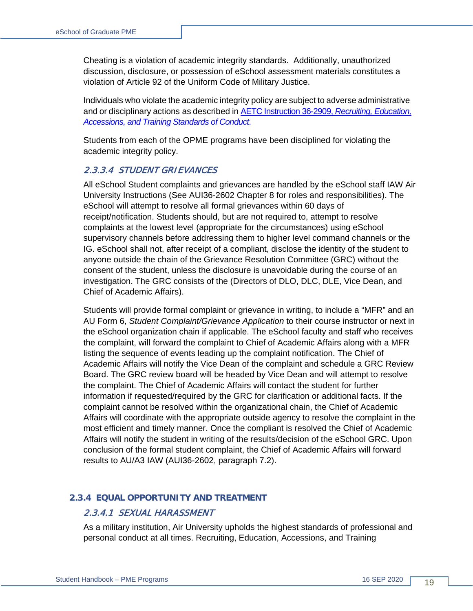Cheating is a violation of academic integrity standards. Additionally, unauthorized discussion, disclosure, or possession of eSchool assessment materials constitutes a violation of Article 92 of the Uniform Code of Military Justice.

Individuals who violate the academic integrity policy are subject to adverse administrative and or disciplinary actions as described in AETC Instruction 36-2909, *[Recruiting, Education,](http://static.e-publishing.af.mil/production/1/aetc/publication/aetci36-2909/aetci36-2909.pdf)  [Accessions, and Training Standards of](http://static.e-publishing.af.mil/production/1/aetc/publication/aetci36-2909/aetci36-2909.pdf) Conduct*.

Students from each of the OPME programs have been disciplined for violating the academic integrity policy.

#### 2.3.3.4 STUDENT GRIEVANCES

All eSchool Student complaints and grievances are handled by the eSchool staff IAW Air University Instructions (See AUI36-2602 Chapter 8 for roles and responsibilities). The eSchool will attempt to resolve all formal grievances within 60 days of receipt/notification. Students should, but are not required to, attempt to resolve complaints at the lowest level (appropriate for the circumstances) using eSchool supervisory channels before addressing them to higher level command channels or the IG. eSchool shall not, after receipt of a compliant, disclose the identity of the student to anyone outside the chain of the Grievance Resolution Committee (GRC) without the consent of the student, unless the disclosure is unavoidable during the course of an investigation. The GRC consists of the (Directors of DLO, DLC, DLE, Vice Dean, and Chief of Academic Affairs).

Students will provide formal complaint or grievance in writing, to include a "MFR" and an AU Form 6, *Student Complaint/Grievance Application* to their course instructor or next in the eSchool organization chain if applicable. The eSchool faculty and staff who receives the complaint, will forward the complaint to Chief of Academic Affairs along with a MFR listing the sequence of events leading up the complaint notification. The Chief of Academic Affairs will notify the Vice Dean of the complaint and schedule a GRC Review Board. The GRC review board will be headed by Vice Dean and will attempt to resolve the complaint. The Chief of Academic Affairs will contact the student for further information if requested/required by the GRC for clarification or additional facts. If the complaint cannot be resolved within the organizational chain, the Chief of Academic Affairs will coordinate with the appropriate outside agency to resolve the complaint in the most efficient and timely manner. Once the compliant is resolved the Chief of Academic Affairs will notify the student in writing of the results/decision of the eSchool GRC. Upon conclusion of the formal student complaint, the Chief of Academic Affairs will forward results to AU/A3 IAW (AUI36-2602, paragraph 7.2).

#### <span id="page-18-0"></span>**2.3.4 EQUAL OPPORTUNITY AND TREATMENT**

#### 2.3.4.1 SEXUAL HARASSMENT

As a military institution, Air University upholds the highest standards of professional and personal conduct at all times. Recruiting, Education, Accessions, and Training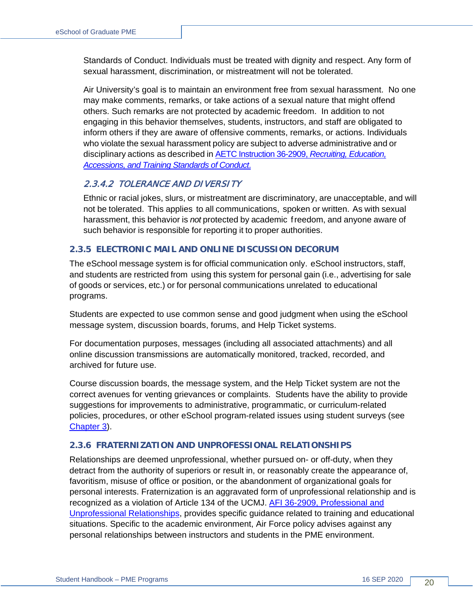Standards of Conduct. Individuals must be treated with dignity and respect. Any form of sexual harassment, discrimination, or mistreatment will not be tolerated.

Air University's goal is to maintain an environment free from sexual harassment. No one may make comments, remarks, or take actions of a sexual nature that might offend others. Such remarks are not protected by academic freedom. In addition to not engaging in this behavior themselves, students, instructors, and staff are obligated to inform others if they are aware of offensive comments, remarks, or actions. Individuals who violate the sexual harassment policy are subject to adverse administrative and or disciplinary actions as described in AETC Instruction 36-2909, *[Recruiting, Education,](http://static.e-publishing.af.mil/production/1/aetc/publication/aetci36-2909/aetci36-2909.pdf)  [Accessions, and Training Standards of](http://static.e-publishing.af.mil/production/1/aetc/publication/aetci36-2909/aetci36-2909.pdf) Conduct*.

#### 2.3.4.2 TOLERANCE AND DIVERSITY

Ethnic or racial jokes, slurs, or mistreatment are discriminatory, are unacceptable, and will not be tolerated. This applies to all communications, spoken or written. As with sexual harassment, this behavior is *not* protected by academic freedom, and anyone aware of such behavior is responsible for reporting it to proper authorities.

#### <span id="page-19-0"></span>**2.3.5 ELECTRONIC MAIL AND ONLINE DISCUSSION DECORUM**

The eSchool message system is for official communication only. eSchool instructors, staff, and students are restricted from using this system for personal gain (i.e., advertising for sale of goods or services, etc.) or for personal communications unrelated to educational programs.

Students are expected to use common sense and good judgment when using the eSchool message system, discussion boards, forums, and Help Ticket systems.

For documentation purposes, messages (including all associated attachments) and all online discussion transmissions are automatically monitored, tracked, recorded, and archived for future use.

Course discussion boards, the message system, and the Help Ticket system are not the correct avenues for venting grievances or complaints. Students have the ability to provide suggestions for improvements to administrative, programmatic, or curriculum-related policies, procedures, or other eSchool program-related issues using student surveys (see [Chapter 3\)](#page-21-0).

#### <span id="page-19-1"></span>**2.3.6 FRATERNIZATION AND UNPROFESSIONAL RELATIONSHIPS**

Relationships are deemed unprofessional, whether pursued on- or off-duty, when they detract from the authority of superiors or result in, or reasonably create the appearance of, favoritism, misuse of office or position, or the abandonment of organizational goals for personal interests. Fraternization is an aggravated form of unprofessional relationship and is recognized as a violation of Article 134 of the UCMJ. [AFI 36-2909, Professional and](http://static.e-publishing.af.mil/production/1/af_ja/publication/afi36-2909/afi36-2909.pdf)  [Unprofessional Relationships,](http://static.e-publishing.af.mil/production/1/af_ja/publication/afi36-2909/afi36-2909.pdf) provides specific guidance related to training and educational situations. Specific to the academic environment, Air Force policy advises against any personal relationships between instructors and students in the PME environment.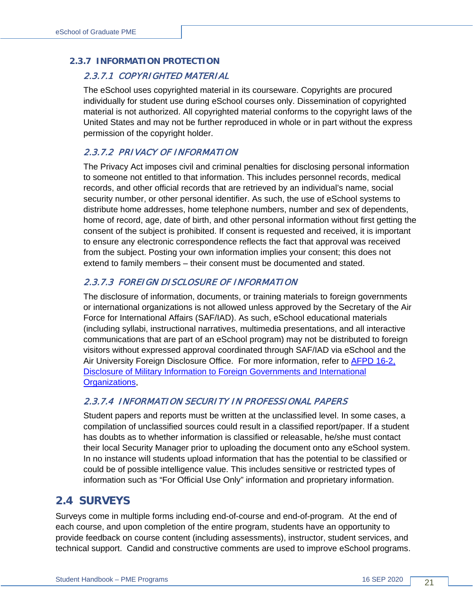#### <span id="page-20-0"></span>**2.3.7 INFORMATION PROTECTION**

#### 2.3.7.1 COPYRIGHTED MATERIAL

The eSchool uses copyrighted material in its courseware. Copyrights are procured individually for student use during eSchool courses only. Dissemination of copyrighted material is not authorized. All copyrighted material conforms to the copyright laws of the United States and may not be further reproduced in whole or in part without the express permission of the copyright holder.

#### 2.3.7.2 PRIVACY OF INFORMATION

The Privacy Act imposes civil and criminal penalties for disclosing personal information to someone not entitled to that information. This includes personnel records, medical records, and other official records that are retrieved by an individual's name, social security number, or other personal identifier. As such, the use of eSchool systems to distribute home addresses, home telephone numbers, number and sex of dependents, home of record, age, date of birth, and other personal information without first getting the consent of the subject is prohibited. If consent is requested and received, it is important to ensure any electronic correspondence reflects the fact that approval was received from the subject. Posting your own information implies your consent; this does not extend to family members – their consent must be documented and stated.

#### 2.3.7.3 FOREIGN DISCLOSURE OF INFORMATION

The disclosure of information, documents, or training materials to foreign governments or international organizations is not allowed unless approved by the Secretary of the Air Force for International Affairs (SAF/IAD). As such, eSchool educational materials (including syllabi, instructional narratives, multimedia presentations, and all interactive communications that are part of an eSchool program) may not be distributed to foreign visitors without expressed approval coordinated through SAF/IAD via eSchool and the Air University Foreign Disclosure Office. For more information, refer to [AFPD 16-2,](http://static.e-publishing.af.mil/production/1/saf_ia/publication/afpd16-2/afpd16-2.pdf)  [Disclosure of Military Information to Foreign Governments and International](http://static.e-publishing.af.mil/production/1/saf_ia/publication/afpd16-2/afpd16-2.pdf)  [Organizations,](http://static.e-publishing.af.mil/production/1/saf_ia/publication/afpd16-2/afpd16-2.pdf)

#### 2.3.7.4 INFORMATION SECURITY IN PROFESSIONAL PAPERS

Student papers and reports must be written at the unclassified level. In some cases, a compilation of unclassified sources could result in a classified report/paper. If a student has doubts as to whether information is classified or releasable, he/she must contact their local Security Manager prior to uploading the document onto any eSchool system. In no instance will students upload information that has the potential to be classified or could be of possible intelligence value. This includes sensitive or restricted types of information such as "For Official Use Only" information and proprietary information.

### <span id="page-20-1"></span>**2.4 SURVEYS**

Surveys come in multiple forms including end-of-course and end-of-program. At the end of each course, and upon completion of the entire program, students have an opportunity to provide feedback on course content (including assessments), instructor, student services, and technical support. Candid and constructive comments are used to improve eSchool programs.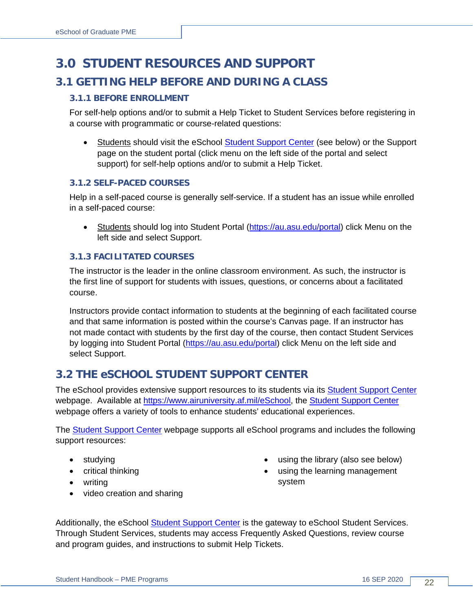# <span id="page-21-1"></span><span id="page-21-0"></span>**3.0 STUDENT RESOURCES AND SUPPORT 3.1 GETTING HELP BEFORE AND DURING A CLASS**

#### <span id="page-21-2"></span>**3.1.1 BEFORE ENROLLMENT**

For self-help options and/or to submit a Help Ticket to Student Services before registering in a course with programmatic or course-related questions:

• Students should visit the eSchool [Student Support Center](https://www.airuniversity.af.edu/eSchool/Help/) (see below) or the Support page on the student portal (click menu on the left side of the portal and select support) for self-help options and/or to submit a Help Ticket.

#### <span id="page-21-3"></span>**3.1.2 SELF-PACED COURSES**

Help in a self-paced course is generally self-service. If a student has an issue while enrolled in a self-paced course:

• Students should log into Student Portal [\(https://au.asu.edu/portal\)](https://au.asu.edu/portal) click Menu on the left side and select Support.

#### <span id="page-21-4"></span>**3.1.3 FACILITATED COURSES**

The instructor is the leader in the online classroom environment. As such, the instructor is the first line of support for students with issues, questions, or concerns about a facilitated course.

Instructors provide contact information to students at the beginning of each facilitated course and that same information is posted within the course's Canvas page. If an instructor has not made contact with students by the first day of the course, then contact Student Services by logging into Student Portal [\(https://au.asu.edu/portal\)](https://au.asu.edu/portal) click Menu on the left side and select Support.

### <span id="page-21-5"></span>**3.2 THE eSCHOOL STUDENT SUPPORT CENTER**

The eSchool provides extensive support resources to its students via its **Student Support Center** webpage. Available at [https://www.airuniversity.af.mil/eSchool,](https://www.airuniversity.af.mil/eSchool) the [Student Support](http://www.airuniversity.af.mil/eSchool) Center webpage offers a variety of tools to enhance students' educational experiences.

The [Student Support](http://www.airuniversity.af.mil/eSchool) Center webpage supports all eSchool programs and includes the following support resources:

- studying
- critical thinking
- writing
- video creation and sharing
- using the library (also see below)
- using the learning management system

Additionally, the eSchool [Student Support Center](https://www.airuniversity.af.mil/eSchool) is the gateway to eSchool Student Services. Through Student Services, students may access Frequently Asked Questions, review course and program guides, and instructions to submit Help Tickets.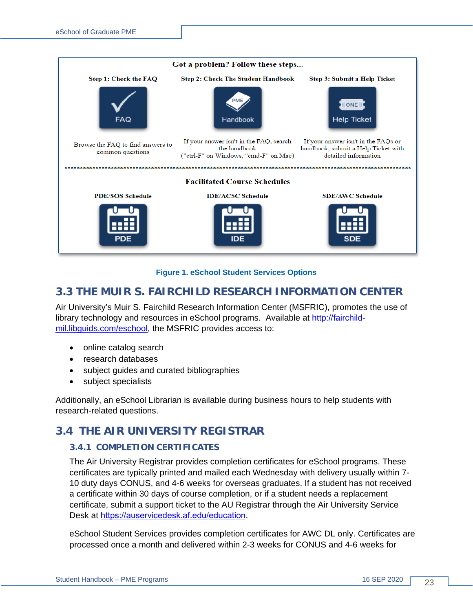

#### **Figure 1. eSchool Student Services Options**

### <span id="page-22-3"></span><span id="page-22-0"></span>**3.3 THE MUIR S. FAIRCHILD RESEARCH INFORMATION CENTER**

Air University's Muir S. Fairchild Research Information Center (MSFRIC), promotes the use of library technology and resources in eSchool programs. Available at [http://fairchild](http://fairchild-mil.libguids.com/eschool)[mil.libguids.com/eschool,](http://fairchild-mil.libguids.com/eschool) the MSFRIC provides access to:

- online catalog search
- research databases
- subject guides and curated bibliographies
- subject specialists

Additionally, an eSchool Librarian is available during business hours to help students with research-related questions.

### <span id="page-22-1"></span>**3.4 THE AIR UNIVERSITY REGISTRAR**

#### <span id="page-22-2"></span>**3.4.1 COMPLETION CERTIFICATES**

The Air University Registrar provides completion certificates for eSchool programs. These certificates are typically printed and mailed each Wednesday with delivery usually within 7- 10 duty days CONUS, and 4-6 weeks for overseas graduates. If a student has not received a certificate within 30 days of course completion, or if a student needs a replacement certificate, submit a support ticket to the AU Registrar through the Air University Service Desk at <https://auservicedesk.af.edu/>education.

eSchool Student Services provides completion certificates for AWC DL only. Certificates are processed once a month and delivered within 2-3 weeks for CONUS and 4-6 weeks for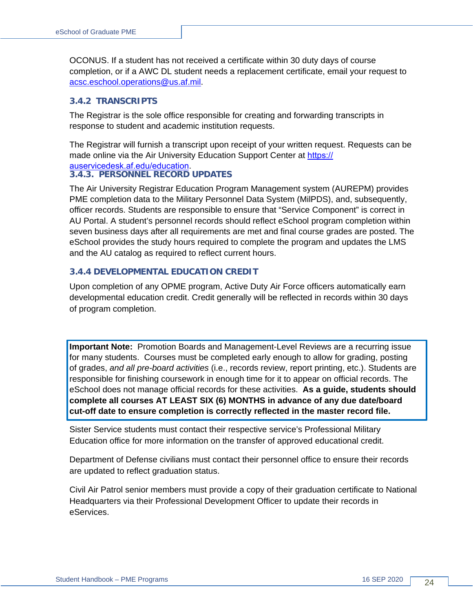OCONUS. If a student has not received a certificate within 30 duty days of course completion, or if a AWC DL student needs a replacement certificate, email your request to [acsc.eschool.operations@us.af.mil.](mailto:acsc.eschool.operations@us.af.mil)

#### <span id="page-23-0"></span>**3.4.2 TRANSCRIPTS**

The Registrar is the sole office responsible for creating and forwarding transcripts in response to student and academic institution requests.

The Registrar will furnish a transcript upon receipt of your written request. Requests can be made online via the Air University Education Support Center at [https://](https://auservicedesk.af.edu/)

#### <span id="page-23-1"></span>auservicedesk.af.edu/education. **3.4.3. PERSONNEL RECORD UPDATES**

The Air University Registrar Education Program Management system (AUREPM) provides PME completion data to the Military Personnel Data System (MilPDS), and, subsequently, officer records. Students are responsible to ensure that "Service Component" is correct in AU Portal. A student's personnel records should reflect eSchool program completion within seven business days after all requirements are met and final course grades are posted. The eSchool provides the study hours required to complete the program and updates the LMS and the AU catalog as required to reflect current hours.

#### **3.4.4 DEVELOPMENTAL EDUCATION CREDIT**

Upon completion of any OPME program, Active Duty Air Force officers automatically earn developmental education credit. Credit generally will be reflected in records within 30 days of program completion.

**Important Note:** Promotion Boards and Management-Level Reviews are a recurring issue for many students. Courses must be completed early enough to allow for grading, posting of grades, *and all pre-board activities* (i.e., records review, report printing, etc.). Students are responsible for finishing coursework in enough time for it to appear on official records. The eSchool does not manage official records for these activities. **As a guide, students should complete all courses AT LEAST SIX (6) MONTHS in advance of any due date/board cut-off date to ensure completion is correctly reflected in the master record file.** 

Sister Service students must contact their respective service's Professional Military Education office for more information on the transfer of approved educational credit.

Department of Defense civilians must contact their personnel office to ensure their records are updated to reflect graduation status.

Civil Air Patrol senior members must provide a copy of their graduation certificate to National Headquarters via their Professional Development Officer to update their records in eServices.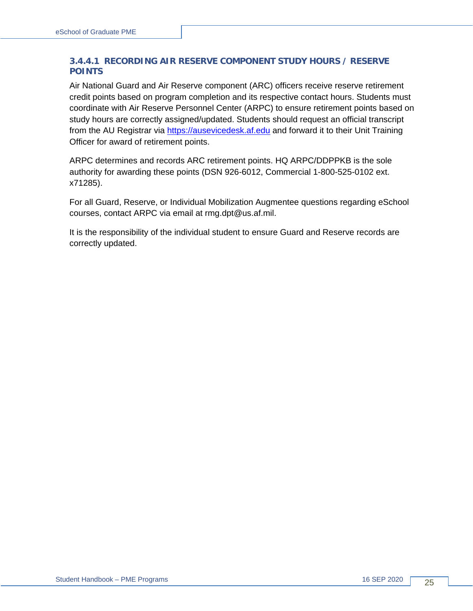#### **3.4.4.1 RECORDING AIR RESERVE COMPONENT STUDY HOURS / RESERVE POINTS**

Air National Guard and Air Reserve component (ARC) officers receive reserve retirement credit points based on program completion and its respective contact hours. Students must coordinate with Air Reserve Personnel Center (ARPC) to ensure retirement points based on study hours are correctly assigned/updated. Students should request an official transcript from the AU Registrar via [https://ausevicedesk.af.edu](https://ausevicedesk.af.edu/) and forward it to their Unit Training Officer for award of retirement points.

ARPC determines and records ARC retirement points. HQ ARPC/DDPPKB is the sole authority for awarding these points (DSN 926-6012, Commercial 1-800-525-0102 ext. x71285).

For all Guard, Reserve, or Individual Mobilization Augmentee questions regarding eSchool courses, contact ARPC via email at [rmg.dpt@us.af.mil.](mailto:rmg.dpt@us.af.mil)

It is the responsibility of the individual student to ensure Guard and Reserve records are correctly updated.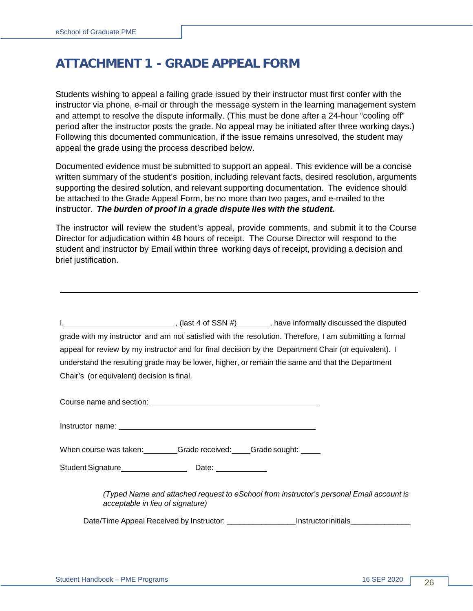# <span id="page-25-0"></span>**ATTACHMENT 1 - GRADE APPEAL FORM**

Students wishing to appeal a failing grade issued by their instructor must first confer with the instructor via phone, e-mail or through the message system in the learning management system and attempt to resolve the dispute informally. (This must be done after a 24-hour "cooling off" period after the instructor posts the grade. No appeal may be initiated after three working days.) Following this documented communication, if the issue remains unresolved, the student may appeal the grade using the process described below.

Documented evidence must be submitted to support an appeal. This evidence will be a concise written summary of the student's position, including relevant facts, desired resolution, arguments supporting the desired solution, and relevant supporting documentation. The evidence should be attached to the Grade Appeal Form, be no more than two pages, and e-mailed to the instructor. *The burden of proof in a grade dispute lies with the student.*

The instructor will review the student's appeal, provide comments, and submit it to the Course Director for adjudication within 48 hours of receipt. The Course Director will respond to the student and instructor by Email within three working days of receipt, providing a decision and brief justification.

|                                                                                                                          |  | $I_1$ (last 4 of SSN #) (Nasset the disputed set al. 2011), have informally discussed the disputed     |  |
|--------------------------------------------------------------------------------------------------------------------------|--|--------------------------------------------------------------------------------------------------------|--|
|                                                                                                                          |  | grade with my instructor and am not satisfied with the resolution. Therefore, I am submitting a formal |  |
|                                                                                                                          |  | appeal for review by my instructor and for final decision by the Department Chair (or equivalent). I   |  |
|                                                                                                                          |  | understand the resulting grade may be lower, higher, or remain the same and that the Department        |  |
| Chair's (or equivalent) decision is final.                                                                               |  |                                                                                                        |  |
| Course name and section: <u>contract the contract of the contract of the contract of the contract of the contract of</u> |  |                                                                                                        |  |

When course was taken: Grade received: Grade sought:

Student Signature Date:

*(Typed Name and attached request to eSchool from instructor's personal Email account is acceptable in lieu of signature)*

Date/Time Appeal Received by Instructor: <br>
lnstructorinitials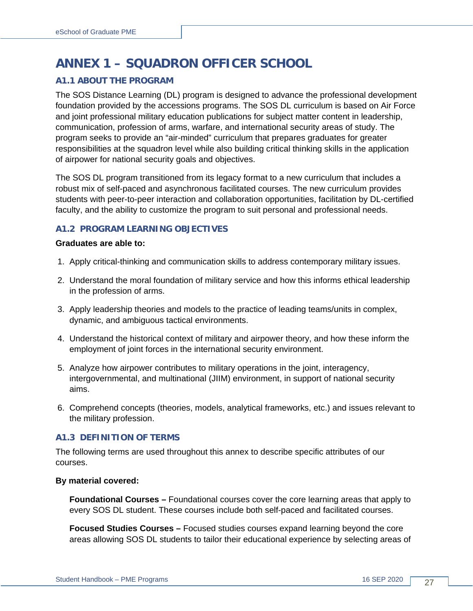# <span id="page-26-0"></span>**ANNEX 1 – SQUADRON OFFICER SCHOOL**

#### <span id="page-26-1"></span>**A1.1 ABOUT THE PROGRAM**

The SOS Distance Learning (DL) program is designed to advance the professional development foundation provided by the accessions programs. The SOS DL curriculum is based on Air Force and joint professional military education publications for subject matter content in leadership, communication, profession of arms, warfare, and international security areas of study. The program seeks to provide an "air-minded" curriculum that prepares graduates for greater responsibilities at the squadron level while also building critical thinking skills in the application of airpower for national security goals and objectives.

The SOS DL program transitioned from its legacy format to a new curriculum that includes a robust mix of self-paced and asynchronous facilitated courses. The new curriculum provides students with peer-to-peer interaction and collaboration opportunities, facilitation by DL-certified faculty, and the ability to customize the program to suit personal and professional needs.

#### <span id="page-26-2"></span>**A1.2 PROGRAM LEARNING OBJECTIVES**

#### **Graduates are able to:**

- 1. Apply critical-thinking and communication skills to address contemporary military issues.
- 2. Understand the moral foundation of military service and how this informs ethical leadership in the profession of arms.
- 3. Apply leadership theories and models to the practice of leading teams/units in complex, dynamic, and ambiguous tactical environments.
- 4. Understand the historical context of military and airpower theory, and how these inform the employment of joint forces in the international security environment.
- 5. Analyze how airpower contributes to military operations in the joint, interagency, intergovernmental, and multinational (JIIM) environment, in support of national security aims.
- 6. Comprehend concepts (theories, models, analytical frameworks, etc.) and issues relevant to the military profession.

#### <span id="page-26-3"></span>**A1.3 DEFINITION OF TERMS**

The following terms are used throughout this annex to describe specific attributes of our courses.

#### **By material covered:**

**Foundational Courses –** Foundational courses cover the core learning areas that apply to every SOS DL student. These courses include both self-paced and facilitated courses.

**Focused Studies Courses –** Focused studies courses expand learning beyond the core areas allowing SOS DL students to tailor their educational experience by selecting areas of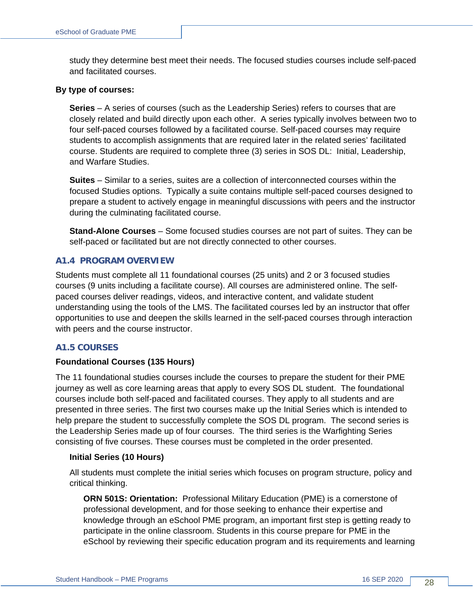study they determine best meet their needs. The focused studies courses include self-paced and facilitated courses.

#### **By type of courses:**

**Series** – A series of courses (such as the Leadership Series) refers to courses that are closely related and build directly upon each other. A series typically involves between two to four self-paced courses followed by a facilitated course. Self-paced courses may require students to accomplish assignments that are required later in the related series' facilitated course. Students are required to complete three (3) series in SOS DL: Initial, Leadership, and Warfare Studies.

**Suites** – Similar to a series, suites are a collection of interconnected courses within the focused Studies options. Typically a suite contains multiple self-paced courses designed to prepare a student to actively engage in meaningful discussions with peers and the instructor during the culminating facilitated course.

**Stand-Alone Courses** – Some focused studies courses are not part of suites. They can be self-paced or facilitated but are not directly connected to other courses.

#### <span id="page-27-0"></span>**A1.4 PROGRAM OVERVIEW**

Students must complete all 11 foundational courses (25 units) and 2 or 3 focused studies courses (9 units including a facilitate course). All courses are administered online. The selfpaced courses deliver readings, videos, and interactive content, and validate student understanding using the tools of the LMS. The facilitated courses led by an instructor that offer opportunities to use and deepen the skills learned in the self-paced courses through interaction with peers and the course instructor.

#### <span id="page-27-1"></span>**A1.5 COURSES**

#### **Foundational Courses (135 Hours)**

The 11 foundational studies courses include the courses to prepare the student for their PME journey as well as core learning areas that apply to every SOS DL student. The foundational courses include both self-paced and facilitated courses. They apply to all students and are presented in three series. The first two courses make up the Initial Series which is intended to help prepare the student to successfully complete the SOS DL program. The second series is the Leadership Series made up of four courses. The third series is the Warfighting Series consisting of five courses. These courses must be completed in the order presented.

#### **Initial Series (10 Hours)**

All students must complete the initial series which focuses on program structure, policy and critical thinking.

**ORN 501S: Orientation:** Professional Military Education (PME) is a cornerstone of professional development, and for those seeking to enhance their expertise and knowledge through an eSchool PME program, an important first step is getting ready to participate in the online classroom. Students in this course prepare for PME in the eSchool by reviewing their specific education program and its requirements and learning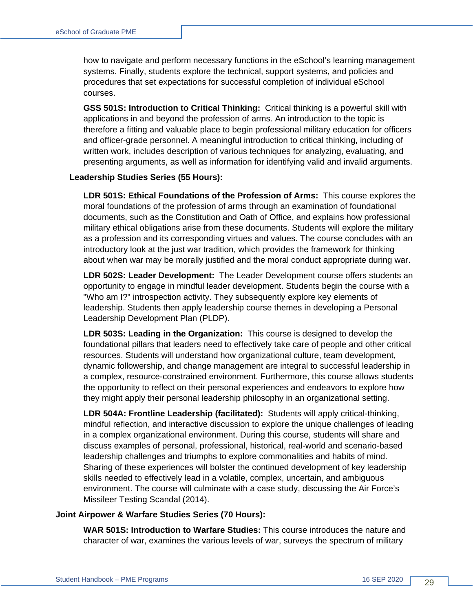how to navigate and perform necessary functions in the eSchool's learning management systems. Finally, students explore the technical, support systems, and policies and procedures that set expectations for successful completion of individual eSchool courses.

**GSS 501S: Introduction to Critical Thinking:** Critical thinking is a powerful skill with applications in and beyond the profession of arms. An introduction to the topic is therefore a fitting and valuable place to begin professional military education for officers and officer-grade personnel. A meaningful introduction to critical thinking, including of written work, includes description of various techniques for analyzing, evaluating, and presenting arguments, as well as information for identifying valid and invalid arguments.

#### **Leadership Studies Series (55 Hours):**

**LDR 501S: Ethical Foundations of the Profession of Arms:** This course explores the moral foundations of the profession of arms through an examination of foundational documents, such as the Constitution and Oath of Office, and explains how professional military ethical obligations arise from these documents. Students will explore the military as a profession and its corresponding virtues and values. The course concludes with an introductory look at the just war tradition, which provides the framework for thinking about when war may be morally justified and the moral conduct appropriate during war.

**LDR 502S: Leader Development:** The Leader Development course offers students an opportunity to engage in mindful leader development. Students begin the course with a "Who am I?" introspection activity. They subsequently explore key elements of leadership. Students then apply leadership course themes in developing a Personal Leadership Development Plan (PLDP).

**LDR 503S: Leading in the Organization:** This course is designed to develop the foundational pillars that leaders need to effectively take care of people and other critical resources. Students will understand how organizational culture, team development, dynamic followership, and change management are integral to successful leadership in a complex, resource-constrained environment. Furthermore, this course allows students the opportunity to reflect on their personal experiences and endeavors to explore how they might apply their personal leadership philosophy in an organizational setting.

**LDR 504A: Frontline Leadership (facilitated):** Students will apply critical-thinking, mindful reflection, and interactive discussion to explore the unique challenges of leading in a complex organizational environment. During this course, students will share and discuss examples of personal, professional, historical, real-world and scenario-based leadership challenges and triumphs to explore commonalities and habits of mind. Sharing of these experiences will bolster the continued development of key leadership skills needed to effectively lead in a volatile, complex, uncertain, and ambiguous environment. The course will culminate with a case study, discussing the Air Force's Missileer Testing Scandal (2014).

#### **Joint Airpower & Warfare Studies Series (70 Hours):**

**WAR 501S: Introduction to Warfare Studies:** This course introduces the nature and character of war, examines the various levels of war, surveys the spectrum of military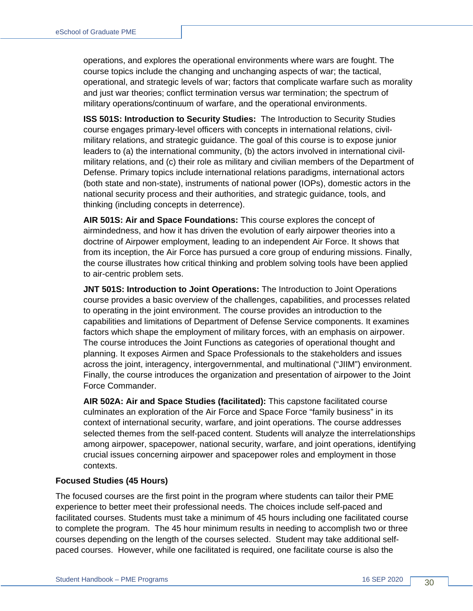operations, and explores the operational environments where wars are fought. The course topics include the changing and unchanging aspects of war; the tactical, operational, and strategic levels of war; factors that complicate warfare such as morality and just war theories; conflict termination versus war termination; the spectrum of military operations/continuum of warfare, and the operational environments.

**ISS 501S: Introduction to Security Studies:** The Introduction to Security Studies course engages primary-level officers with concepts in international relations, civilmilitary relations, and strategic guidance. The goal of this course is to expose junior leaders to (a) the international community, (b) the actors involved in international civilmilitary relations, and (c) their role as military and civilian members of the Department of Defense. Primary topics include international relations paradigms, international actors (both state and non-state), instruments of national power (IOPs), domestic actors in the national security process and their authorities, and strategic guidance, tools, and thinking (including concepts in deterrence).

**AIR 501S: Air and Space Foundations:** This course explores the concept of airmindedness, and how it has driven the evolution of early airpower theories into a doctrine of Airpower employment, leading to an independent Air Force. It shows that from its inception, the Air Force has pursued a core group of enduring missions. Finally, the course illustrates how critical thinking and problem solving tools have been applied to air-centric problem sets.

**JNT 501S: Introduction to Joint Operations:** The Introduction to Joint Operations course provides a basic overview of the challenges, capabilities, and processes related to operating in the joint environment. The course provides an introduction to the capabilities and limitations of Department of Defense Service components. It examines factors which shape the employment of military forces, with an emphasis on airpower. The course introduces the Joint Functions as categories of operational thought and planning. It exposes Airmen and Space Professionals to the stakeholders and issues across the joint, interagency, intergovernmental, and multinational ("JIIM") environment. Finally, the course introduces the organization and presentation of airpower to the Joint Force Commander.

**AIR 502A: Air and Space Studies (facilitated):** This capstone facilitated course culminates an exploration of the Air Force and Space Force "family business" in its context of international security, warfare, and joint operations. The course addresses selected themes from the self-paced content. Students will analyze the interrelationships among airpower, spacepower, national security, warfare, and joint operations, identifying crucial issues concerning airpower and spacepower roles and employment in those contexts.

#### **Focused Studies (45 Hours)**

The focused courses are the first point in the program where students can tailor their PME experience to better meet their professional needs. The choices include self-paced and facilitated courses. Students must take a minimum of 45 hours including one facilitated course to complete the program. The 45 hour minimum results in needing to accomplish two or three courses depending on the length of the courses selected. Student may take additional selfpaced courses. However, while one facilitated is required, one facilitate course is also the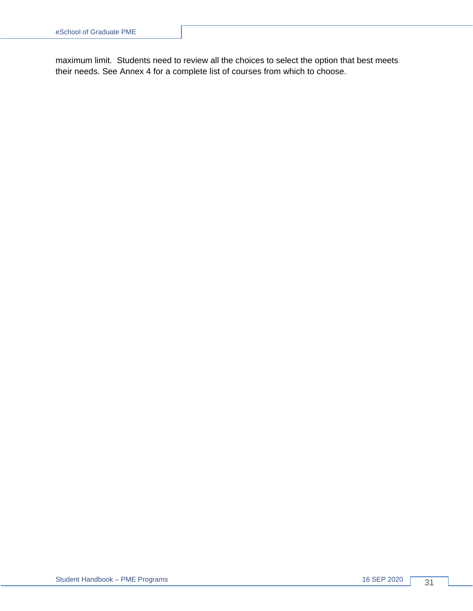maximum limit. Students need to review all the choices to select the option that best meets their needs. See Annex 4 for a complete list of courses from which to choose.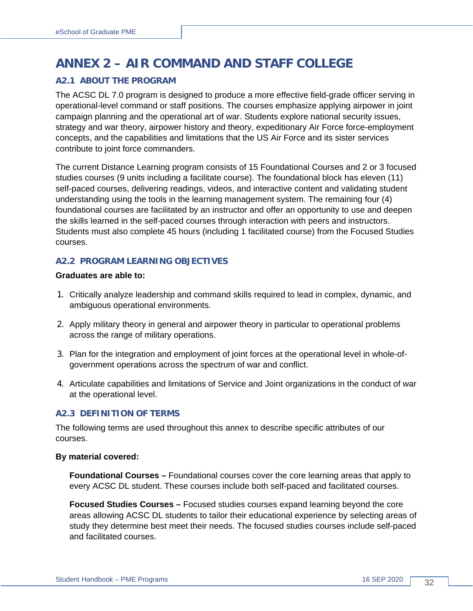# <span id="page-31-0"></span>**ANNEX 2 – AIR COMMAND AND STAFF COLLEGE**

#### <span id="page-31-1"></span>**A2.1 ABOUT THE PROGRAM**

The ACSC DL 7.0 program is designed to produce a more effective field-grade officer serving in operational-level command or staff positions. The courses emphasize applying airpower in joint campaign planning and the operational art of war. Students explore national security issues, strategy and war theory, airpower history and theory, expeditionary Air Force force-employment concepts, and the capabilities and limitations that the US Air Force and its sister services contribute to joint force commanders.

The current Distance Learning program consists of 15 Foundational Courses and 2 or 3 focused studies courses (9 units including a facilitate course). The foundational block has eleven (11) self-paced courses, delivering readings, videos, and interactive content and validating student understanding using the tools in the learning management system. The remaining four (4) foundational courses are facilitated by an instructor and offer an opportunity to use and deepen the skills learned in the self-paced courses through interaction with peers and instructors. Students must also complete 45 hours (including 1 facilitated course) from the Focused Studies courses.

#### <span id="page-31-2"></span>**A2.2 PROGRAM LEARNING OBJECTIVES**

#### **Graduates are able to:**

- 1. Critically analyze leadership and command skills required to lead in complex, dynamic, and ambiguous operational environments.
- 2. Apply military theory in general and airpower theory in particular to operational problems across the range of military operations.
- 3. Plan for the integration and employment of joint forces at the operational level in whole-ofgovernment operations across the spectrum of war and conflict.
- 4. Articulate capabilities and limitations of Service and Joint organizations in the conduct of war at the operational level.

#### <span id="page-31-3"></span>**A2.3 DEFINITION OF TERMS**

The following terms are used throughout this annex to describe specific attributes of our courses.

#### **By material covered:**

**Foundational Courses –** Foundational courses cover the core learning areas that apply to every ACSC DL student. These courses include both self-paced and facilitated courses.

**Focused Studies Courses –** Focused studies courses expand learning beyond the core areas allowing ACSC DL students to tailor their educational experience by selecting areas of study they determine best meet their needs. The focused studies courses include self-paced and facilitated courses.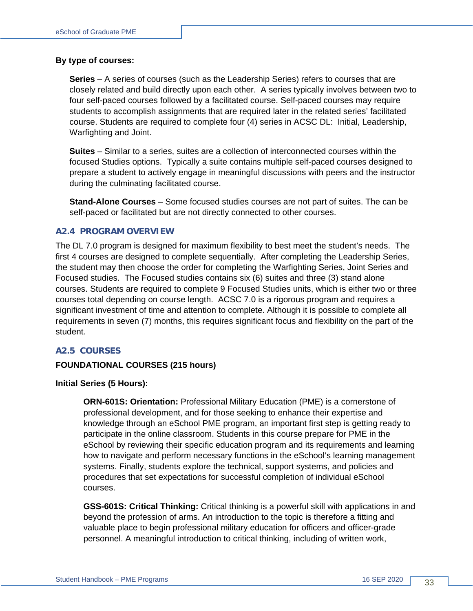#### **By type of courses:**

**Series** – A series of courses (such as the Leadership Series) refers to courses that are closely related and build directly upon each other. A series typically involves between two to four self-paced courses followed by a facilitated course. Self-paced courses may require students to accomplish assignments that are required later in the related series' facilitated course. Students are required to complete four (4) series in ACSC DL: Initial, Leadership, Warfighting and Joint.

**Suites** – Similar to a series, suites are a collection of interconnected courses within the focused Studies options. Typically a suite contains multiple self-paced courses designed to prepare a student to actively engage in meaningful discussions with peers and the instructor during the culminating facilitated course.

**Stand-Alone Courses** – Some focused studies courses are not part of suites. The can be self-paced or facilitated but are not directly connected to other courses.

#### <span id="page-32-0"></span>**A2.4 PROGRAM OVERVIEW**

The DL 7.0 program is designed for maximum flexibility to best meet the student's needs. The first 4 courses are designed to complete sequentially. After completing the Leadership Series, the student may then choose the order for completing the Warfighting Series, Joint Series and Focused studies. The Focused studies contains six (6) suites and three (3) stand alone courses. Students are required to complete 9 Focused Studies units, which is either two or three courses total depending on course length. ACSC 7.0 is a rigorous program and requires a significant investment of time and attention to complete. Although it is possible to complete all requirements in seven (7) months, this requires significant focus and flexibility on the part of the student.

#### <span id="page-32-1"></span>**A2.5 COURSES**

#### **FOUNDATIONAL COURSES (215 hours)**

#### **Initial Series (5 Hours):**

**ORN-601S: Orientation:** Professional Military Education (PME) is a cornerstone of professional development, and for those seeking to enhance their expertise and knowledge through an eSchool PME program, an important first step is getting ready to participate in the online classroom. Students in this course prepare for PME in the eSchool by reviewing their specific education program and its requirements and learning how to navigate and perform necessary functions in the eSchool's learning management systems. Finally, students explore the technical, support systems, and policies and procedures that set expectations for successful completion of individual eSchool courses.

**GSS-601S: Critical Thinking:** Critical thinking is a powerful skill with applications in and beyond the profession of arms. An introduction to the topic is therefore a fitting and valuable place to begin professional military education for officers and officer-grade personnel. A meaningful introduction to critical thinking, including of written work,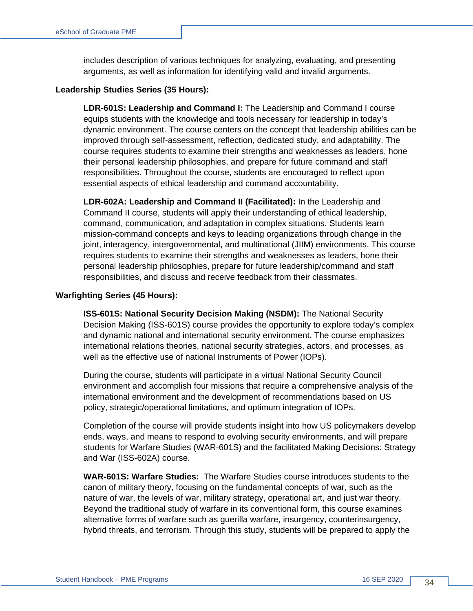includes description of various techniques for analyzing, evaluating, and presenting arguments, as well as information for identifying valid and invalid arguments.

#### **Leadership Studies Series (35 Hours):**

**LDR-601S: Leadership and Command I:** The Leadership and Command I course equips students with the knowledge and tools necessary for leadership in today's dynamic environment. The course centers on the concept that leadership abilities can be improved through self-assessment, reflection, dedicated study, and adaptability. The course requires students to examine their strengths and weaknesses as leaders, hone their personal leadership philosophies, and prepare for future command and staff responsibilities. Throughout the course, students are encouraged to reflect upon essential aspects of ethical leadership and command accountability.

**LDR-602A: Leadership and Command II (Facilitated):** In the Leadership and Command II course, students will apply their understanding of ethical leadership, command, communication, and adaptation in complex situations. Students learn mission-command concepts and keys to leading organizations through change in the joint, interagency, intergovernmental, and multinational (JIIM) environments. This course requires students to examine their strengths and weaknesses as leaders, hone their personal leadership philosophies, prepare for future leadership/command and staff responsibilities, and discuss and receive feedback from their classmates.

#### **Warfighting Series (45 Hours):**

**ISS-601S: National Security Decision Making (NSDM):** The National Security Decision Making (ISS-601S) course provides the opportunity to explore today's complex and dynamic national and international security environment. The course emphasizes international relations theories, national security strategies, actors, and processes, as well as the effective use of national Instruments of Power (IOPs).

During the course, students will participate in a virtual National Security Council environment and accomplish four missions that require a comprehensive analysis of the international environment and the development of recommendations based on US policy, strategic/operational limitations, and optimum integration of IOPs.

Completion of the course will provide students insight into how US policymakers develop ends, ways, and means to respond to evolving security environments, and will prepare students for Warfare Studies (WAR-601S) and the facilitated Making Decisions: Strategy and War (ISS-602A) course.

**WAR-601S: Warfare Studies:** The Warfare Studies course introduces students to the canon of military theory, focusing on the fundamental concepts of war, such as the nature of war, the levels of war, military strategy, operational art, and just war theory. Beyond the traditional study of warfare in its conventional form, this course examines alternative forms of warfare such as guerilla warfare, insurgency, counterinsurgency, hybrid threats, and terrorism. Through this study, students will be prepared to apply the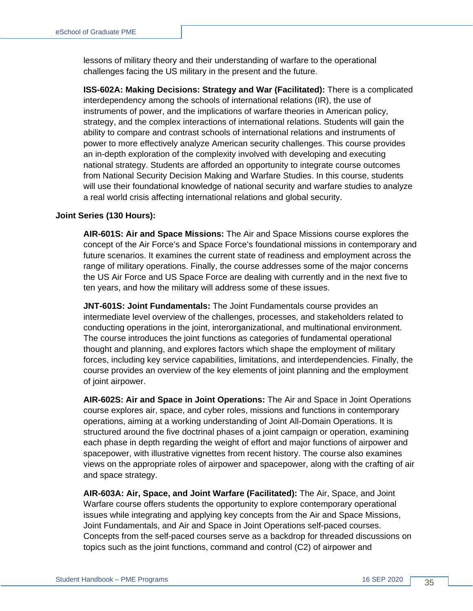lessons of military theory and their understanding of warfare to the operational challenges facing the US military in the present and the future.

**ISS-602A: Making Decisions: Strategy and War (Facilitated):** There is a complicated interdependency among the schools of international relations (IR), the use of instruments of power, and the implications of warfare theories in American policy, strategy, and the complex interactions of international relations. Students will gain the ability to compare and contrast schools of international relations and instruments of power to more effectively analyze American security challenges. This course provides an in-depth exploration of the complexity involved with developing and executing national strategy. Students are afforded an opportunity to integrate course outcomes from National Security Decision Making and Warfare Studies. In this course, students will use their foundational knowledge of national security and warfare studies to analyze a real world crisis affecting international relations and global security.

#### **Joint Series (130 Hours):**

**AIR-601S: Air and Space Missions:** The Air and Space Missions course explores the concept of the Air Force's and Space Force's foundational missions in contemporary and future scenarios. It examines the current state of readiness and employment across the range of military operations. Finally, the course addresses some of the major concerns the US Air Force and US Space Force are dealing with currently and in the next five to ten years, and how the military will address some of these issues.

**JNT-601S: Joint Fundamentals:** The Joint Fundamentals course provides an intermediate level overview of the challenges, processes, and stakeholders related to conducting operations in the joint, interorganizational, and multinational environment. The course introduces the joint functions as categories of fundamental operational thought and planning, and explores factors which shape the employment of military forces, including key service capabilities, limitations, and interdependencies. Finally, the course provides an overview of the key elements of joint planning and the employment of joint airpower.

**AIR-602S: Air and Space in Joint Operations:** The Air and Space in Joint Operations course explores air, space, and cyber roles, missions and functions in contemporary operations, aiming at a working understanding of Joint All-Domain Operations. It is structured around the five doctrinal phases of a joint campaign or operation, examining each phase in depth regarding the weight of effort and major functions of airpower and spacepower, with illustrative vignettes from recent history. The course also examines views on the appropriate roles of airpower and spacepower, along with the crafting of air and space strategy.

**AIR-603A: Air, Space, and Joint Warfare (Facilitated):** The Air, Space, and Joint Warfare course offers students the opportunity to explore contemporary operational issues while integrating and applying key concepts from the Air and Space Missions, Joint Fundamentals, and Air and Space in Joint Operations self-paced courses. Concepts from the self-paced courses serve as a backdrop for threaded discussions on topics such as the joint functions, command and control (C2) of airpower and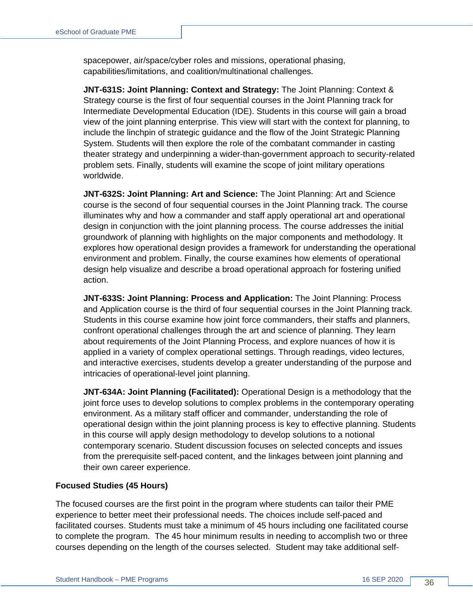spacepower, air/space/cyber roles and missions, operational phasing, capabilities/limitations, and coalition/multinational challenges.

**JNT-631S: Joint Planning: Context and Strategy:** The Joint Planning: Context & Strategy course is the first of four sequential courses in the Joint Planning track for Intermediate Developmental Education (IDE). Students in this course will gain a broad view of the joint planning enterprise. This view will start with the context for planning, to include the linchpin of strategic guidance and the flow of the Joint Strategic Planning System. Students will then explore the role of the combatant commander in casting theater strategy and underpinning a wider-than-government approach to security-related problem sets. Finally, students will examine the scope of joint military operations worldwide.

**JNT-632S: Joint Planning: Art and Science:** The Joint Planning: Art and Science course is the second of four sequential courses in the Joint Planning track. The course illuminates why and how a commander and staff apply operational art and operational design in conjunction with the joint planning process. The course addresses the initial groundwork of planning with highlights on the major components and methodology. It explores how operational design provides a framework for understanding the operational environment and problem. Finally, the course examines how elements of operational design help visualize and describe a broad operational approach for fostering unified action.

**JNT-633S: Joint Planning: Process and Application:** The Joint Planning: Process and Application course is the third of four sequential courses in the Joint Planning track. Students in this course examine how joint force commanders, their staffs and planners, confront operational challenges through the art and science of planning. They learn about requirements of the Joint Planning Process, and explore nuances of how it is applied in a variety of complex operational settings. Through readings, video lectures, and interactive exercises, students develop a greater understanding of the purpose and intricacies of operational-level joint planning.

**JNT-634A: Joint Planning (Facilitated):** Operational Design is a methodology that the joint force uses to develop solutions to complex problems in the contemporary operating environment. As a military staff officer and commander, understanding the role of operational design within the joint planning process is key to effective planning. Students in this course will apply design methodology to develop solutions to a notional contemporary scenario. Student discussion focuses on selected concepts and issues from the prerequisite self-paced content, and the linkages between joint planning and their own career experience.

#### **Focused Studies (45 Hours)**

The focused courses are the first point in the program where students can tailor their PME experience to better meet their professional needs. The choices include self-paced and facilitated courses. Students must take a minimum of 45 hours including one facilitated course to complete the program. The 45 hour minimum results in needing to accomplish two or three courses depending on the length of the courses selected. Student may take additional self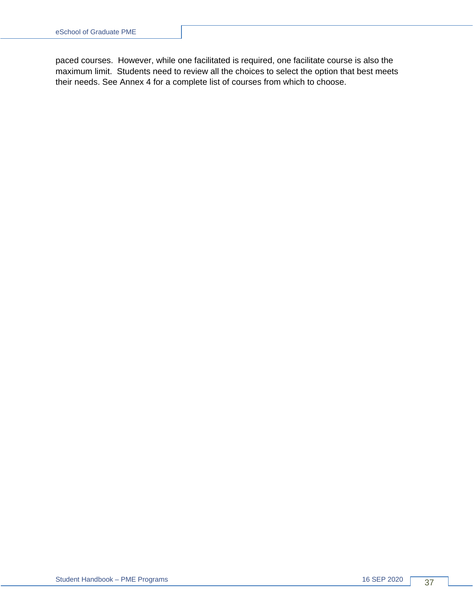paced courses. However, while one facilitated is required, one facilitate course is also the maximum limit. Students need to review all the choices to select the option that best meets their needs. See Annex 4 for a complete list of courses from which to choose.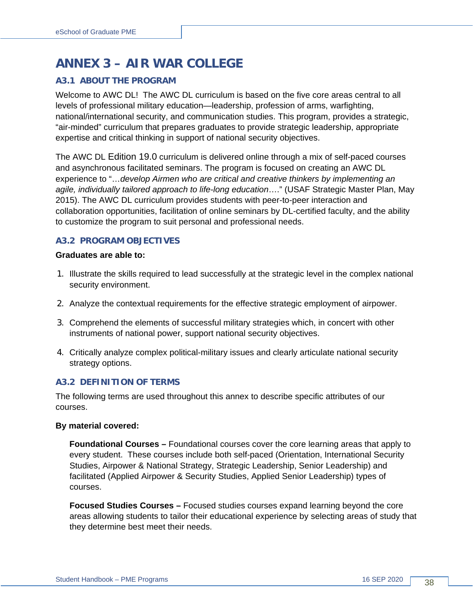# <span id="page-37-0"></span>**ANNEX 3 – AIR WAR COLLEGE**

#### <span id="page-37-1"></span>**A3.1 ABOUT THE PROGRAM**

Welcome to AWC DL! The AWC DL curriculum is based on the five core areas central to all levels of professional military education—leadership, profession of arms, warfighting, national/international security, and communication studies. This program, provides a strategic, "air-minded" curriculum that prepares graduates to provide strategic leadership, appropriate expertise and critical thinking in support of national security objectives.

The AWC DL Edition 19.0 curriculum is delivered online through a mix of self-paced courses and asynchronous facilitated seminars. The program is focused on creating an AWC DL experience to "…*develop Airmen who are critical and creative thinkers by implementing an agile, individually tailored approach to life-long education*…." (USAF Strategic Master Plan, May 2015). The AWC DL curriculum provides students with peer-to-peer interaction and collaboration opportunities, facilitation of online seminars by DL-certified faculty, and the ability to customize the program to suit personal and professional needs.

#### <span id="page-37-2"></span>**A3.2 PROGRAM OBJECTIVES**

#### **Graduates are able to:**

- 1. Illustrate the skills required to lead successfully at the strategic level in the complex national security environment.
- 2. Analyze the contextual requirements for the effective strategic employment of airpower.
- 3. Comprehend the elements of successful military strategies which, in concert with other instruments of national power, support national security objectives.
- 4. Critically analyze complex political-military issues and clearly articulate national security strategy options.

#### <span id="page-37-3"></span>**A3.2 DEFINITION OF TERMS**

The following terms are used throughout this annex to describe specific attributes of our courses.

#### **By material covered:**

**Foundational Courses –** Foundational courses cover the core learning areas that apply to every student. These courses include both self-paced (Orientation, International Security Studies, Airpower & National Strategy, Strategic Leadership, Senior Leadership) and facilitated (Applied Airpower & Security Studies, Applied Senior Leadership) types of courses.

**Focused Studies Courses –** Focused studies courses expand learning beyond the core areas allowing students to tailor their educational experience by selecting areas of study that they determine best meet their needs.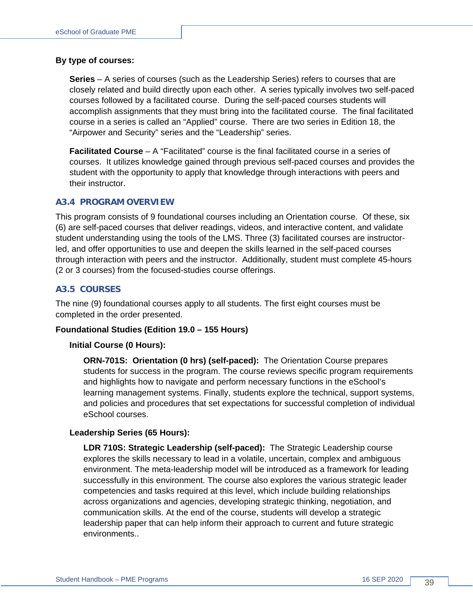#### **By type of courses:**

**Series** – A series of courses (such as the Leadership Series) refers to courses that are closely related and build directly upon each other. A series typically involves two self-paced courses followed by a facilitated course. During the self-paced courses students will accomplish assignments that they must bring into the facilitated course. The final facilitated course in a series is called an "Applied" course. There are two series in Edition 18, the "Airpower and Security" series and the "Leadership" series.

**Facilitated Course** – A "Facilitated" course is the final facilitated course in a series of courses. It utilizes knowledge gained through previous self-paced courses and provides the student with the opportunity to apply that knowledge through interactions with peers and their instructor.

#### <span id="page-38-0"></span>**A3.4 PROGRAM OVERVIEW**

This program consists of 9 foundational courses including an Orientation course. Of these, six (6) are self-paced courses that deliver readings, videos, and interactive content, and validate student understanding using the tools of the LMS. Three (3) facilitated courses are instructorled, and offer opportunities to use and deepen the skills learned in the self-paced courses through interaction with peers and the instructor. Additionally, student must complete 45-hours (2 or 3 courses) from the focused-studies course offerings.

#### <span id="page-38-1"></span>**A3.5 COURSES**

The nine (9) foundational courses apply to all students. The first eight courses must be completed in the order presented.

#### **Foundational Studies (Edition 19.0 – 155 Hours)**

#### **Initial Course (0 Hours):**

**ORN-701S: Orientation (0 hrs) (self-paced):** The Orientation Course prepares students for success in the program. The course reviews specific program requirements and highlights how to navigate and perform necessary functions in the eSchool's learning management systems. Finally, students explore the technical, support systems, and policies and procedures that set expectations for successful completion of individual eSchool courses.

#### **Leadership Series (65 Hours):**

**LDR 710S: Strategic Leadership (self-paced):** The Strategic Leadership course explores the skills necessary to lead in a volatile, uncertain, complex and ambiguous environment. The meta-leadership model will be introduced as a framework for leading successfully in this environment. The course also explores the various strategic leader competencies and tasks required at this level, which include building relationships across organizations and agencies, developing strategic thinking, negotiation, and communication skills. At the end of the course, students will develop a strategic leadership paper that can help inform their approach to current and future strategic environments..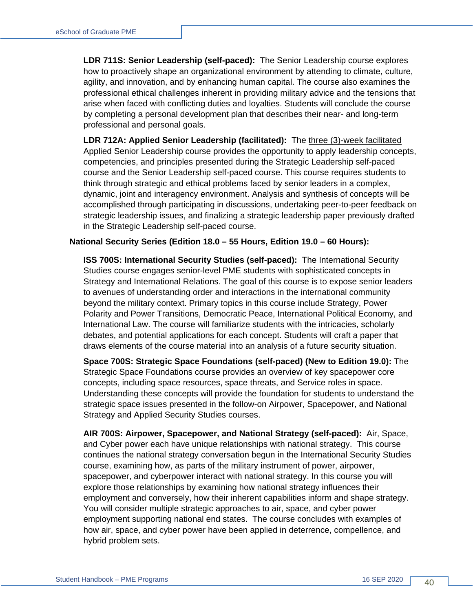**LDR 711S: Senior Leadership (self-paced):** The Senior Leadership course explores how to proactively shape an organizational environment by attending to climate, culture, agility, and innovation, and by enhancing human capital. The course also examines the professional ethical challenges inherent in providing military advice and the tensions that arise when faced with conflicting duties and loyalties. Students will conclude the course by completing a personal development plan that describes their near- and long-term professional and personal goals.

**LDR 712A: Applied Senior Leadership (facilitated):** The three (3)-week facilitated Applied Senior Leadership course provides the opportunity to apply leadership concepts, competencies, and principles presented during the Strategic Leadership self-paced course and the Senior Leadership self-paced course. This course requires students to think through strategic and ethical problems faced by senior leaders in a complex, dynamic, joint and interagency environment. Analysis and synthesis of concepts will be accomplished through participating in discussions, undertaking peer-to-peer feedback on strategic leadership issues, and finalizing a strategic leadership paper previously drafted in the Strategic Leadership self-paced course.

#### **National Security Series (Edition 18.0 – 55 Hours, Edition 19.0 – 60 Hours):**

**ISS 700S: International Security Studies (self-paced):** The International Security Studies course engages senior-level PME students with sophisticated concepts in Strategy and International Relations. The goal of this course is to expose senior leaders to avenues of understanding order and interactions in the international community beyond the military context. Primary topics in this course include Strategy, Power Polarity and Power Transitions, Democratic Peace, International Political Economy, and International Law. The course will familiarize students with the intricacies, scholarly debates, and potential applications for each concept. Students will craft a paper that draws elements of the course material into an analysis of a future security situation.

**Space 700S: Strategic Space Foundations (self-paced) (New to Edition 19.0):** The Strategic Space Foundations course provides an overview of key spacepower core concepts, including space resources, space threats, and Service roles in space. Understanding these concepts will provide the foundation for students to understand the strategic space issues presented in the follow-on Airpower, Spacepower, and National Strategy and Applied Security Studies courses.

**AIR 700S: Airpower, Spacepower, and National Strategy (self-paced):** Air, Space, and Cyber power each have unique relationships with national strategy. This course continues the national strategy conversation begun in the International Security Studies course, examining how, as parts of the military instrument of power, airpower, spacepower, and cyberpower interact with national strategy. In this course you will explore those relationships by examining how national strategy influences their employment and conversely, how their inherent capabilities inform and shape strategy. You will consider multiple strategic approaches to air, space, and cyber power employment supporting national end states. The course concludes with examples of how air, space, and cyber power have been applied in deterrence, compellence, and hybrid problem sets.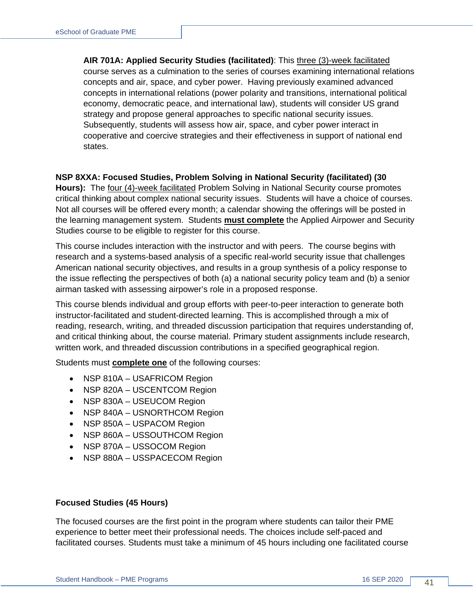**AIR 701A: Applied Security Studies (facilitated)**: This three (3)-week facilitated course serves as a culmination to the series of courses examining international relations concepts and air, space, and cyber power. Having previously examined advanced concepts in international relations (power polarity and transitions, international political economy, democratic peace, and international law), students will consider US grand strategy and propose general approaches to specific national security issues. Subsequently, students will assess how air, space, and cyber power interact in cooperative and coercive strategies and their effectiveness in support of national end states.

#### **NSP 8XXA: Focused Studies, Problem Solving in National Security (facilitated) (30**

**Hours):** The four (4)-week facilitated Problem Solving in National Security course promotes critical thinking about complex national security issues. Students will have a choice of courses. Not all courses will be offered every month; a calendar showing the offerings will be posted in the learning management system. Students **must complete** the Applied Airpower and Security Studies course to be eligible to register for this course.

This course includes interaction with the instructor and with peers. The course begins with research and a systems-based analysis of a specific real-world security issue that challenges American national security objectives, and results in a group synthesis of a policy response to the issue reflecting the perspectives of both (a) a national security policy team and (b) a senior airman tasked with assessing airpower's role in a proposed response.

This course blends individual and group efforts with peer-to-peer interaction to generate both instructor-facilitated and student-directed learning. This is accomplished through a mix of reading, research, writing, and threaded discussion participation that requires understanding of, and critical thinking about, the course material. Primary student assignments include research, written work, and threaded discussion contributions in a specified geographical region.

Students must **complete one** of the following courses:

- NSP 810A USAFRICOM Region
- NSP 820A USCENTCOM Region
- NSP 830A USEUCOM Region
- NSP 840A USNORTHCOM Region
- NSP 850A USPACOM Region
- NSP 860A USSOUTHCOM Region
- NSP 870A USSOCOM Region
- NSP 880A USSPACECOM Region

#### **Focused Studies (45 Hours)**

The focused courses are the first point in the program where students can tailor their PME experience to better meet their professional needs. The choices include self-paced and facilitated courses. Students must take a minimum of 45 hours including one facilitated course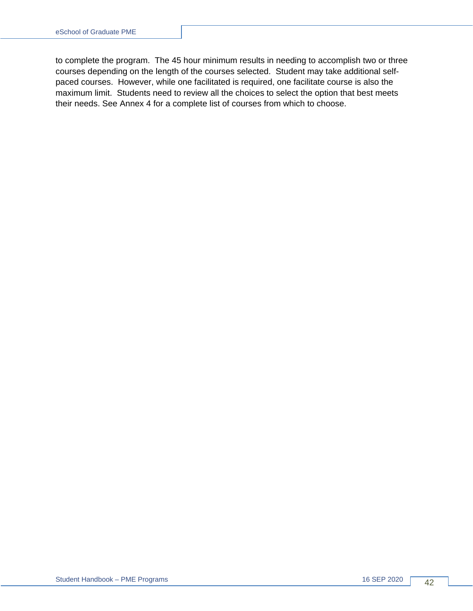to complete the program. The 45 hour minimum results in needing to accomplish two or three courses depending on the length of the courses selected. Student may take additional selfpaced courses. However, while one facilitated is required, one facilitate course is also the maximum limit. Students need to review all the choices to select the option that best meets their needs. See Annex 4 for a complete list of courses from which to choose.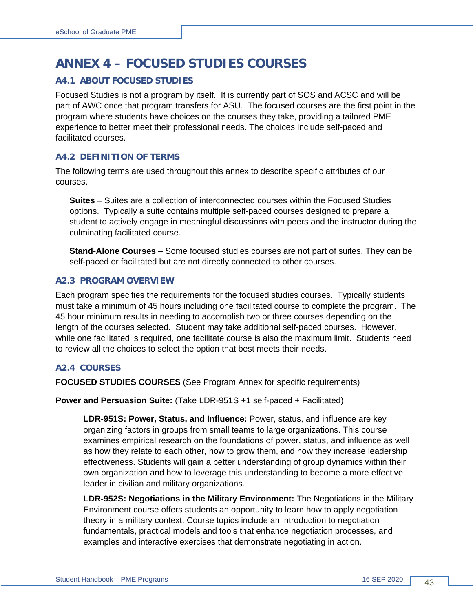# <span id="page-42-0"></span>**ANNEX 4 – FOCUSED STUDIES COURSES**

### <span id="page-42-1"></span>**A4.1 ABOUT FOCUSED STUDIES**

Focused Studies is not a program by itself. It is currently part of SOS and ACSC and will be part of AWC once that program transfers for ASU. The focused courses are the first point in the program where students have choices on the courses they take, providing a tailored PME experience to better meet their professional needs. The choices include self-paced and facilitated courses.

#### <span id="page-42-2"></span>**A4.2 DEFINITION OF TERMS**

The following terms are used throughout this annex to describe specific attributes of our courses.

**Suites** – Suites are a collection of interconnected courses within the Focused Studies options. Typically a suite contains multiple self-paced courses designed to prepare a student to actively engage in meaningful discussions with peers and the instructor during the culminating facilitated course.

**Stand-Alone Courses** – Some focused studies courses are not part of suites. They can be self-paced or facilitated but are not directly connected to other courses.

#### <span id="page-42-3"></span>**A2.3 PROGRAM OVERVIEW**

Each program specifies the requirements for the focused studies courses. Typically students must take a minimum of 45 hours including one facilitated course to complete the program. The 45 hour minimum results in needing to accomplish two or three courses depending on the length of the courses selected. Student may take additional self-paced courses. However, while one facilitated is required, one facilitate course is also the maximum limit. Students need to review all the choices to select the option that best meets their needs.

#### <span id="page-42-4"></span>**A2.4 COURSES**

**FOCUSED STUDIES COURSES** (See Program Annex for specific requirements)

**Power and Persuasion Suite:** (Take LDR-951S +1 self-paced + Facilitated)

**LDR-951S: Power, Status, and Influence:** Power, status, and influence are key organizing factors in groups from small teams to large organizations. This course examines empirical research on the foundations of power, status, and influence as well as how they relate to each other, how to grow them, and how they increase leadership effectiveness. Students will gain a better understanding of group dynamics within their own organization and how to leverage this understanding to become a more effective leader in civilian and military organizations.

**LDR-952S: Negotiations in the Military Environment:** The Negotiations in the Military Environment course offers students an opportunity to learn how to apply negotiation theory in a military context. Course topics include an introduction to negotiation fundamentals, practical models and tools that enhance negotiation processes, and examples and interactive exercises that demonstrate negotiating in action.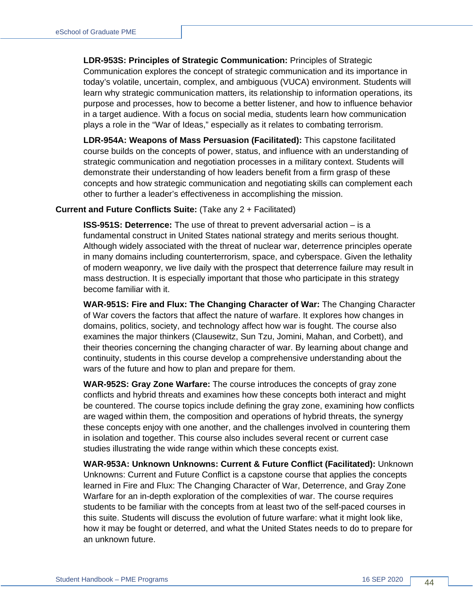**LDR-953S: Principles of Strategic Communication:** Principles of Strategic Communication explores the concept of strategic communication and its importance in today's volatile, uncertain, complex, and ambiguous (VUCA) environment. Students will learn why strategic communication matters, its relationship to information operations, its purpose and processes, how to become a better listener, and how to influence behavior in a target audience. With a focus on social media, students learn how communication plays a role in the "War of Ideas," especially as it relates to combating terrorism.

**LDR-954A: Weapons of Mass Persuasion (Facilitated):** This capstone facilitated course builds on the concepts of power, status, and influence with an understanding of strategic communication and negotiation processes in a military context. Students will demonstrate their understanding of how leaders benefit from a firm grasp of these concepts and how strategic communication and negotiating skills can complement each other to further a leader's effectiveness in accomplishing the mission.

#### **Current and Future Conflicts Suite:** (Take any 2 + Facilitated)

**ISS-951S: Deterrence:** The use of threat to prevent adversarial action – is a fundamental construct in United States national strategy and merits serious thought. Although widely associated with the threat of nuclear war, deterrence principles operate in many domains including counterterrorism, space, and cyberspace. Given the lethality of modern weaponry, we live daily with the prospect that deterrence failure may result in mass destruction. It is especially important that those who participate in this strategy become familiar with it.

**WAR-951S: Fire and Flux: The Changing Character of War:** The Changing Character of War covers the factors that affect the nature of warfare. It explores how changes in domains, politics, society, and technology affect how war is fought. The course also examines the major thinkers (Clausewitz, Sun Tzu, Jomini, Mahan, and Corbett), and their theories concerning the changing character of war. By learning about change and continuity, students in this course develop a comprehensive understanding about the wars of the future and how to plan and prepare for them.

**WAR-952S: Gray Zone Warfare:** The course introduces the concepts of gray zone conflicts and hybrid threats and examines how these concepts both interact and might be countered. The course topics include defining the gray zone, examining how conflicts are waged within them, the composition and operations of hybrid threats, the synergy these concepts enjoy with one another, and the challenges involved in countering them in isolation and together. This course also includes several recent or current case studies illustrating the wide range within which these concepts exist.

**WAR-953A: Unknown Unknowns: Current & Future Conflict (Facilitated):** Unknown Unknowns: Current and Future Conflict is a capstone course that applies the concepts learned in Fire and Flux: The Changing Character of War, Deterrence, and Gray Zone Warfare for an in-depth exploration of the complexities of war. The course requires students to be familiar with the concepts from at least two of the self-paced courses in this suite. Students will discuss the evolution of future warfare: what it might look like, how it may be fought or deterred, and what the United States needs to do to prepare for an unknown future.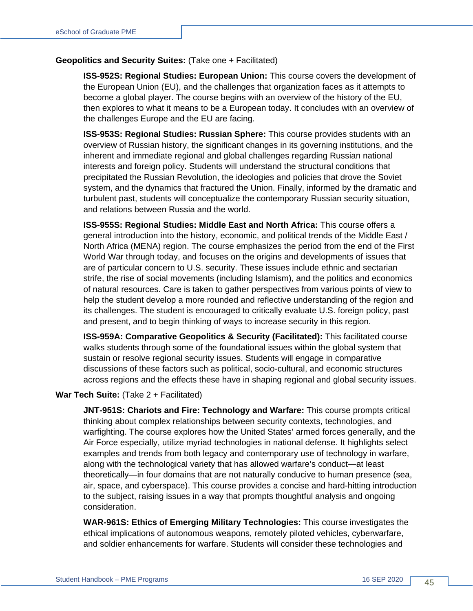#### **Geopolitics and Security Suites:** (Take one + Facilitated)

**ISS-952S: Regional Studies: European Union:** This course covers the development of the European Union (EU), and the challenges that organization faces as it attempts to become a global player. The course begins with an overview of the history of the EU, then explores to what it means to be a European today. It concludes with an overview of the challenges Europe and the EU are facing.

**ISS-953S: Regional Studies: Russian Sphere:** This course provides students with an overview of Russian history, the significant changes in its governing institutions, and the inherent and immediate regional and global challenges regarding Russian national interests and foreign policy. Students will understand the structural conditions that precipitated the Russian Revolution, the ideologies and policies that drove the Soviet system, and the dynamics that fractured the Union. Finally, informed by the dramatic and turbulent past, students will conceptualize the contemporary Russian security situation, and relations between Russia and the world.

**ISS-955S: Regional Studies: Middle East and North Africa:** This course offers a general introduction into the history, economic, and political trends of the Middle East / North Africa (MENA) region. The course emphasizes the period from the end of the First World War through today, and focuses on the origins and developments of issues that are of particular concern to U.S. security. These issues include ethnic and sectarian strife, the rise of social movements (including Islamism), and the politics and economics of natural resources. Care is taken to gather perspectives from various points of view to help the student develop a more rounded and reflective understanding of the region and its challenges. The student is encouraged to critically evaluate U.S. foreign policy, past and present, and to begin thinking of ways to increase security in this region.

**ISS-959A: Comparative Geopolitics & Security (Facilitated):** This facilitated course walks students through some of the foundational issues within the global system that sustain or resolve regional security issues. Students will engage in comparative discussions of these factors such as political, socio-cultural, and economic structures across regions and the effects these have in shaping regional and global security issues.

#### **War Tech Suite:** (Take 2 + Facilitated)

**JNT-951S: Chariots and Fire: Technology and Warfare:** This course prompts critical thinking about complex relationships between security contexts, technologies, and warfighting. The course explores how the United States' armed forces generally, and the Air Force especially, utilize myriad technologies in national defense. It highlights select examples and trends from both legacy and contemporary use of technology in warfare, along with the technological variety that has allowed warfare's conduct—at least theoretically—in four domains that are not naturally conducive to human presence (sea, air, space, and cyberspace). This course provides a concise and hard-hitting introduction to the subject, raising issues in a way that prompts thoughtful analysis and ongoing consideration.

**WAR-961S: Ethics of Emerging Military Technologies:** This course investigates the ethical implications of autonomous weapons, remotely piloted vehicles, cyberwarfare, and soldier enhancements for warfare. Students will consider these technologies and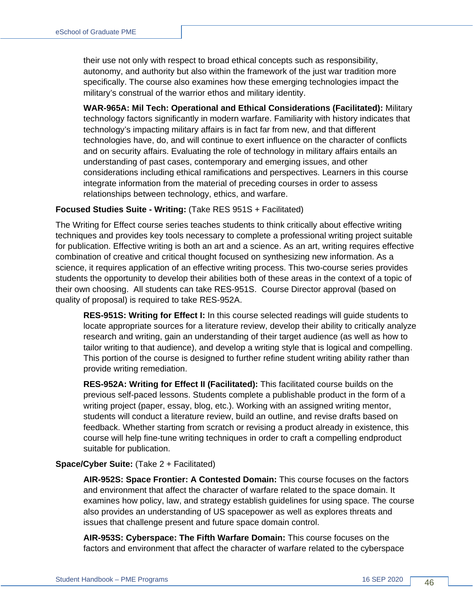their use not only with respect to broad ethical concepts such as responsibility, autonomy, and authority but also within the framework of the just war tradition more specifically. The course also examines how these emerging technologies impact the military's construal of the warrior ethos and military identity.

**WAR-965A: Mil Tech: Operational and Ethical Considerations (Facilitated):** Military technology factors significantly in modern warfare. Familiarity with history indicates that technology's impacting military affairs is in fact far from new, and that different technologies have, do, and will continue to exert influence on the character of conflicts and on security affairs. Evaluating the role of technology in military affairs entails an understanding of past cases, contemporary and emerging issues, and other considerations including ethical ramifications and perspectives. Learners in this course integrate information from the material of preceding courses in order to assess relationships between technology, ethics, and warfare.

#### **Focused Studies Suite - Writing:** (Take RES 951S + Facilitated)

The Writing for Effect course series teaches students to think critically about effective writing techniques and provides key tools necessary to complete a professional writing project suitable for publication. Effective writing is both an art and a science. As an art, writing requires effective combination of creative and critical thought focused on synthesizing new information. As a science, it requires application of an effective writing process. This two-course series provides students the opportunity to develop their abilities both of these areas in the context of a topic of their own choosing. All students can take RES-951S. Course Director approval (based on quality of proposal) is required to take RES-952A.

**RES-951S: Writing for Effect I:** In this course selected readings will guide students to locate appropriate sources for a literature review, develop their ability to critically analyze research and writing, gain an understanding of their target audience (as well as how to tailor writing to that audience), and develop a writing style that is logical and compelling. This portion of the course is designed to further refine student writing ability rather than provide writing remediation.

**RES-952A: Writing for Effect II (Facilitated):** This facilitated course builds on the previous self-paced lessons. Students complete a publishable product in the form of a writing project (paper, essay, blog, etc.). Working with an assigned writing mentor, students will conduct a literature review, build an outline, and revise drafts based on feedback. Whether starting from scratch or revising a product already in existence, this course will help fine-tune writing techniques in order to craft a compelling endproduct suitable for publication.

#### **Space/Cyber Suite:** (Take 2 + Facilitated)

**AIR-952S: Space Frontier: A Contested Domain:** This course focuses on the factors and environment that affect the character of warfare related to the space domain. It examines how policy, law, and strategy establish guidelines for using space. The course also provides an understanding of US spacepower as well as explores threats and issues that challenge present and future space domain control.

**AIR-953S: Cyberspace: The Fifth Warfare Domain:** This course focuses on the factors and environment that affect the character of warfare related to the cyberspace